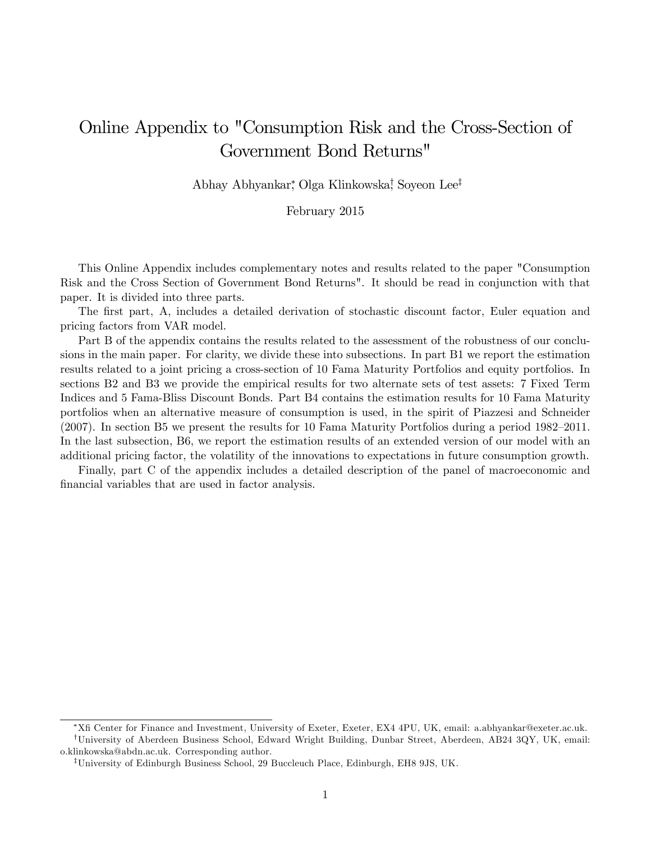# Online Appendix to "Consumption Risk and the Cross-Section of Government Bond Returns"

Abhay Abhyankar, Olga Klinkowska, Soyeon Lee<sup>‡</sup>

February 2015

This Online Appendix includes complementary notes and results related to the paper "Consumption Risk and the Cross Section of Government Bond Returns". It should be read in conjunction with that paper. It is divided into three parts.

The first part, A, includes a detailed derivation of stochastic discount factor, Euler equation and pricing factors from VAR model.

Part B of the appendix contains the results related to the assessment of the robustness of our conclusions in the main paper. For clarity, we divide these into subsections. In part B1 we report the estimation results related to a joint pricing a cross-section of 10 Fama Maturity Portfolios and equity portfolios. In sections B2 and B3 we provide the empirical results for two alternate sets of test assets: 7 Fixed Term Indices and 5 Fama-Bliss Discount Bonds. Part B4 contains the estimation results for 10 Fama Maturity portfolios when an alternative measure of consumption is used, in the spirit of Piazzesi and Schneider  $(2007)$ . In section B5 we present the results for 10 Fama Maturity Portfolios during a period 1982–2011. In the last subsection, B6, we report the estimation results of an extended version of our model with an additional pricing factor, the volatility of the innovations to expectations in future consumption growth.

Finally, part C of the appendix includes a detailed description of the panel of macroeconomic and financial variables that are used in factor analysis.

XÖ Center for Finance and Investment, University of Exeter, Exeter, EX4 4PU, UK, email: a.abhyankar@exeter.ac.uk. <sup>†</sup>University of Aberdeen Business School, Edward Wright Building, Dunbar Street, Aberdeen, AB24 3QY, UK, email: o.klinkowska@abdn.ac.uk. Corresponding author.

<sup>&</sup>lt;sup>‡</sup>University of Edinburgh Business School, 29 Buccleuch Place, Edinburgh, EH8 9JS, UK.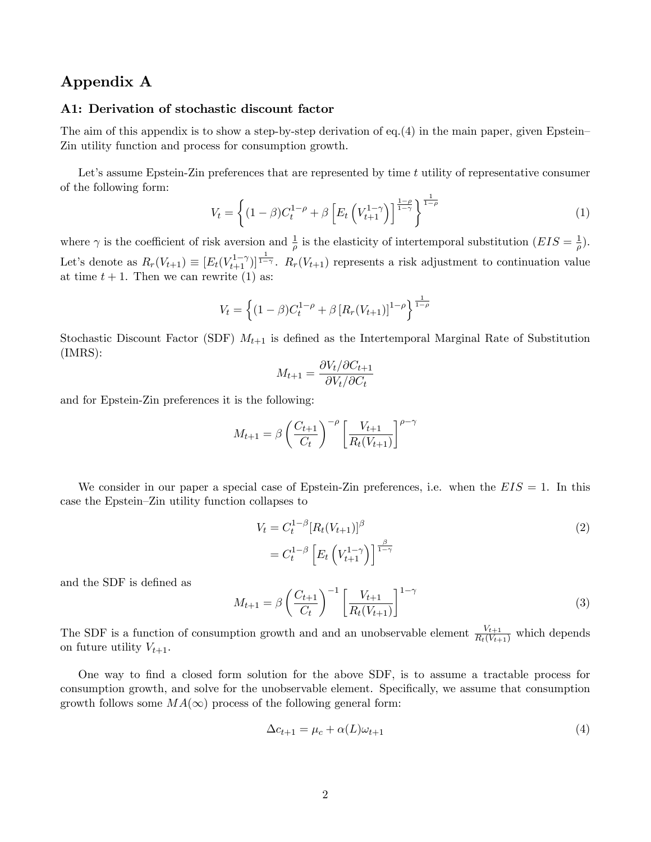# Appendix A

### A1: Derivation of stochastic discount factor

The aim of this appendix is to show a step-by-step derivation of eq.(4) in the main paper, given Epstein– Zin utility function and process for consumption growth.

Let's assume Epstein-Zin preferences that are represented by time  $t$  utility of representative consumer of the following form:

$$
V_t = \left\{ (1 - \beta) C_t^{1 - \rho} + \beta \left[ E_t \left( V_{t+1}^{1 - \gamma} \right) \right]_{1 - \gamma}^{\frac{1 - \rho}{1 - \rho}} \right\}^{\frac{1}{1 - \rho}}
$$
(1)

where  $\gamma$  is the coefficient of risk aversion and  $\frac{1}{\rho}$  is the elasticity of intertemporal substitution  $(EIS = \frac{1}{\rho})$  $\frac{1}{\rho}$ ). Let's denote as  $R_r(V_{t+1}) \equiv [E_t(V_{t+1}^{1-\gamma})]^{\frac{1}{1-\gamma}}$ .  $R_r(V_{t+1})$  represents a risk adjustment to continuation value at time  $t + 1$ . Then we can rewrite (1) as:

$$
V_t = \left\{ (1 - \beta) C_t^{1 - \rho} + \beta \left[ R_r(V_{t+1}) \right]^{1 - \rho} \right\}^{\frac{1}{1 - \rho}}
$$

Stochastic Discount Factor (SDF)  $M_{t+1}$  is defined as the Intertemporal Marginal Rate of Substitution (IMRS):

$$
M_{t+1} = \frac{\partial V_t / \partial C_{t+1}}{\partial V_t / \partial C_t}
$$

and for Epstein-Zin preferences it is the following:

$$
M_{t+1} = \beta \left( \frac{C_{t+1}}{C_t} \right)^{-\rho} \left[ \frac{V_{t+1}}{R_t(V_{t+1})} \right]^{\rho - \gamma}
$$

We consider in our paper a special case of Epstein-Zin preferences, i.e. when the  $EIS = 1$ . In this case the Epstein–Zin utility function collapses to

$$
V_t = C_t^{1-\beta} [R_t(V_{t+1})]^{\beta}
$$
  
= 
$$
C_t^{1-\beta} \left[ E_t \left( V_{t+1}^{1-\gamma} \right) \right]^{\frac{\beta}{1-\gamma}}
$$
 (2)

and the SDF is defined as

$$
M_{t+1} = \beta \left(\frac{C_{t+1}}{C_t}\right)^{-1} \left[\frac{V_{t+1}}{R_t(V_{t+1})}\right]^{1-\gamma}
$$
\n(3)

The SDF is a function of consumption growth and and an unobservable element  $\frac{V_{t+1}}{R_t(V_{t+1})}$  which depends on future utility  $V_{t+1}$ .

One way to Önd a closed form solution for the above SDF, is to assume a tractable process for consumption growth, and solve for the unobservable element. Specifically, we assume that consumption growth follows some  $MA(\infty)$  process of the following general form:

$$
\Delta c_{t+1} = \mu_c + \alpha(L)\omega_{t+1} \tag{4}
$$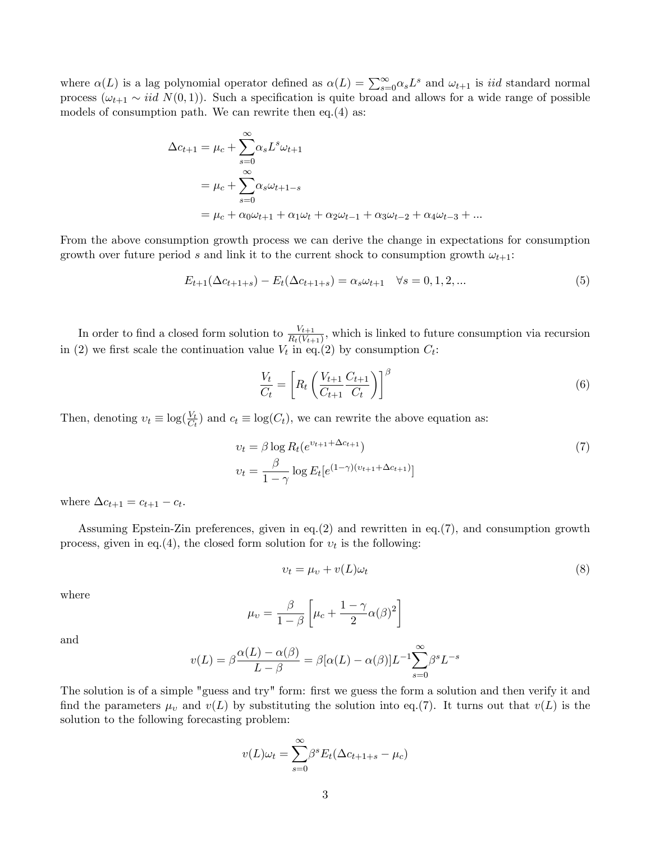where  $\alpha(L)$  is a lag polynomial operator defined as  $\alpha(L) = \sum_{s=0}^{\infty} \alpha_s L^s$  and  $\omega_{t+1}$  is *iid* standard normal process  $(\omega_{t+1} \sim \text{iid } N(0, 1))$ . Such a specification is quite broad and allows for a wide range of possible models of consumption path. We can rewrite then eq.(4) as:

$$
\Delta c_{t+1} = \mu_c + \sum_{s=0}^{\infty} \alpha_s L^s \omega_{t+1}
$$
  
=  $\mu_c + \sum_{s=0}^{\infty} \alpha_s \omega_{t+1-s}$   
=  $\mu_c + \alpha_0 \omega_{t+1} + \alpha_1 \omega_t + \alpha_2 \omega_{t-1} + \alpha_3 \omega_{t-2} + \alpha_4 \omega_{t-3} + \dots$ 

From the above consumption growth process we can derive the change in expectations for consumption growth over future period s and link it to the current shock to consumption growth  $\omega_{t+1}$ :

$$
E_{t+1}(\Delta c_{t+1+s}) - E_t(\Delta c_{t+1+s}) = \alpha_s \omega_{t+1} \quad \forall s = 0, 1, 2, ... \tag{5}
$$

In order to find a closed form solution to  $\frac{V_{t+1}}{R_t(V_{t+1})}$ , which is linked to future consumption via recursion in (2) we first scale the continuation value  $V_t$  in eq.(2) by consumption  $C_t$ :

$$
\frac{V_t}{C_t} = \left[ R_t \left( \frac{V_{t+1}}{C_{t+1}} \frac{C_{t+1}}{C_t} \right) \right]^\beta \tag{6}
$$

Then, denoting  $v_t \equiv \log(\frac{V_t}{C_t})$  and  $c_t \equiv \log(C_t)$ , we can rewrite the above equation as:

$$
v_t = \beta \log R_t(e^{v_{t+1} + \Delta c_{t+1}})
$$
  
\n
$$
v_t = \frac{\beta}{1 - \gamma} \log E_t[e^{(1 - \gamma)(v_{t+1} + \Delta c_{t+1})}]
$$
\n
$$
(7)
$$

where  $\Delta c_{t+1} = c_{t+1} - c_t$ .

Assuming Epstein-Zin preferences, given in eq.(2) and rewritten in eq.(7), and consumption growth process, given in eq.(4), the closed form solution for  $v_t$  is the following:

$$
v_t = \mu_v + v(L)\omega_t \tag{8}
$$

where

$$
\mu_v = \frac{\beta}{1-\beta} \left[ \mu_c + \frac{1-\gamma}{2} \alpha(\beta)^2 \right]
$$

and

$$
v(L) = \beta \frac{\alpha(L) - \alpha(\beta)}{L - \beta} = \beta[\alpha(L) - \alpha(\beta)]L^{-1} \sum_{s=0}^{\infty} \beta^s L^{-s}
$$

The solution is of a simple "guess and try" form: first we guess the form a solution and then verify it and find the parameters  $\mu_v$  and  $v(L)$  by substituting the solution into eq.(7). It turns out that  $v(L)$  is the solution to the following forecasting problem:

$$
v(L)\omega_t = \sum_{s=0}^{\infty} \beta^s E_t(\Delta c_{t+1+s} - \mu_c)
$$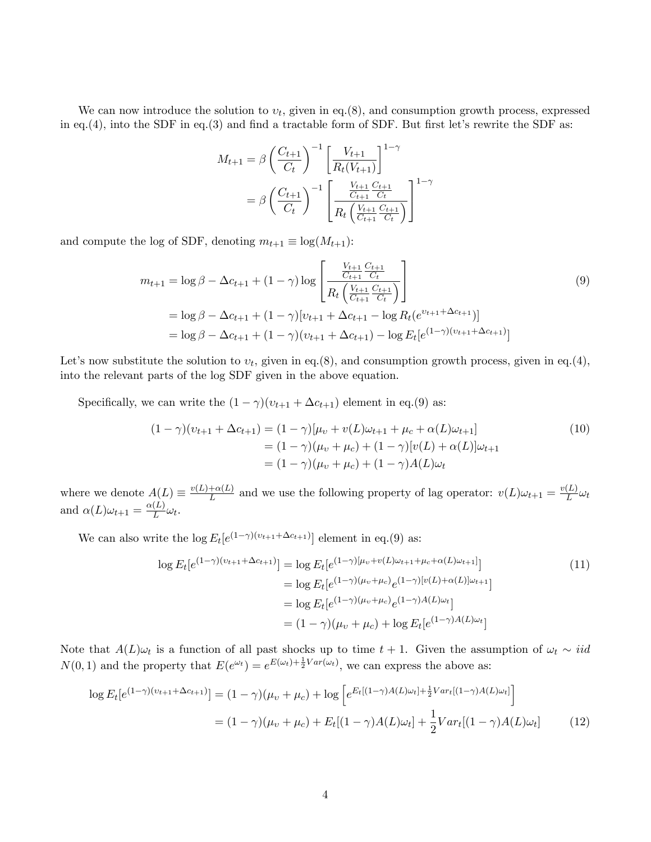We can now introduce the solution to  $v_t$ , given in eq.(8), and consumption growth process, expressed in eq.(4), into the SDF in eq.(3) and find a tractable form of SDF. But first let's rewrite the SDF as:

$$
M_{t+1} = \beta \left(\frac{C_{t+1}}{C_t}\right)^{-1} \left[\frac{V_{t+1}}{R_t(V_{t+1})}\right]^{1-\gamma}
$$
  
=  $\beta \left(\frac{C_{t+1}}{C_t}\right)^{-1} \left[\frac{\frac{V_{t+1}}{C_{t+1}} \frac{C_{t+1}}{C_t}}{R_t \left(\frac{V_{t+1}}{C_{t+1}} \frac{C_{t+1}}{C_t}\right)}\right]^{1-\gamma}$ 

and compute the log of SDF, denoting  $m_{t+1} \equiv \log(M_{t+1})$ :

$$
m_{t+1} = \log \beta - \Delta c_{t+1} + (1 - \gamma) \log \left[ \frac{\frac{V_{t+1}}{C_{t+1}} \frac{C_{t+1}}{C_t}}{R_t \left( \frac{V_{t+1}}{C_{t+1}} \frac{C_{t+1}}{C_t} \right)} \right]
$$
  
=  $\log \beta - \Delta c_{t+1} + (1 - \gamma) [v_{t+1} + \Delta c_{t+1} - \log R_t (e^{v_{t+1} + \Delta c_{t+1}})]$   
=  $\log \beta - \Delta c_{t+1} + (1 - \gamma) (v_{t+1} + \Delta c_{t+1}) - \log E_t [e^{(1 - \gamma) (v_{t+1} + \Delta c_{t+1})}]$  (9)

Let's now substitute the solution to  $v_t$ , given in eq.(8), and consumption growth process, given in eq.(4), into the relevant parts of the log SDF given in the above equation.

Specifically, we can write the  $(1 - \gamma)(v_{t+1} + \Delta c_{t+1})$  element in eq.(9) as:

$$
(1 - \gamma)(v_{t+1} + \Delta c_{t+1}) = (1 - \gamma)[\mu_v + v(L)\omega_{t+1} + \mu_c + \alpha(L)\omega_{t+1}]
$$
  
=  $(1 - \gamma)(\mu_v + \mu_c) + (1 - \gamma)[v(L) + \alpha(L)]\omega_{t+1}$   
=  $(1 - \gamma)(\mu_v + \mu_c) + (1 - \gamma)A(L)\omega_t$  (10)

where we denote  $A(L) \equiv \frac{v(L)+\alpha(L)}{L}$  $\frac{L}{L}$  and we use the following property of lag operator:  $v(L)\omega_{t+1} = \frac{v(L)}{L}$  $_L^{\left( L \right)}$   $\omega_t$ and  $\alpha(L)\omega_{t+1} = \frac{\alpha(L)}{L}$  $L^{(L)}\omega_t$ .

We can also write the  $\log E_t[e^{(1-\gamma)(v_{t+1}+\Delta c_{t+1})}]$  element in eq.(9) as:

$$
\log E_t[e^{(1-\gamma)(\nu_{t+1}+\Delta c_{t+1})}] = \log E_t[e^{(1-\gamma)[\mu_v+v(L)\omega_{t+1}+\mu_c+\alpha(L)\omega_{t+1}]}]
$$
  
\n
$$
= \log E_t[e^{(1-\gamma)(\mu_v+\mu_c)}e^{(1-\gamma)[v(L)+\alpha(L)]\omega_{t+1}}]
$$
  
\n
$$
= \log E_t[e^{(1-\gamma)(\mu_v+\mu_c)}e^{(1-\gamma)A(L)\omega_t}]
$$
  
\n
$$
= (1-\gamma)(\mu_v+\mu_c) + \log E_t[e^{(1-\gamma)A(L)\omega_t}]
$$
\n(11)

Note that  $A(L)\omega_t$  is a function of all past shocks up to time  $t + 1$ . Given the assumption of  $\omega_t \sim \textit{iid}$  $N(0, 1)$  and the property that  $E(e^{\omega_t}) = e^{E(\omega_t) + \frac{1}{2}Var(\omega_t)}$ , we can express the above as:

$$
\log E_t[e^{(1-\gamma)(\nu_{t+1}+\Delta c_{t+1})}] = (1-\gamma)(\mu_v + \mu_c) + \log \left[e^{E_t[(1-\gamma)A(L)\omega_t] + \frac{1}{2}Var_t[(1-\gamma)A(L)\omega_t]}\right]
$$

$$
= (1-\gamma)(\mu_v + \mu_c) + E_t[(1-\gamma)A(L)\omega_t] + \frac{1}{2}Var_t[(1-\gamma)A(L)\omega_t] \tag{12}
$$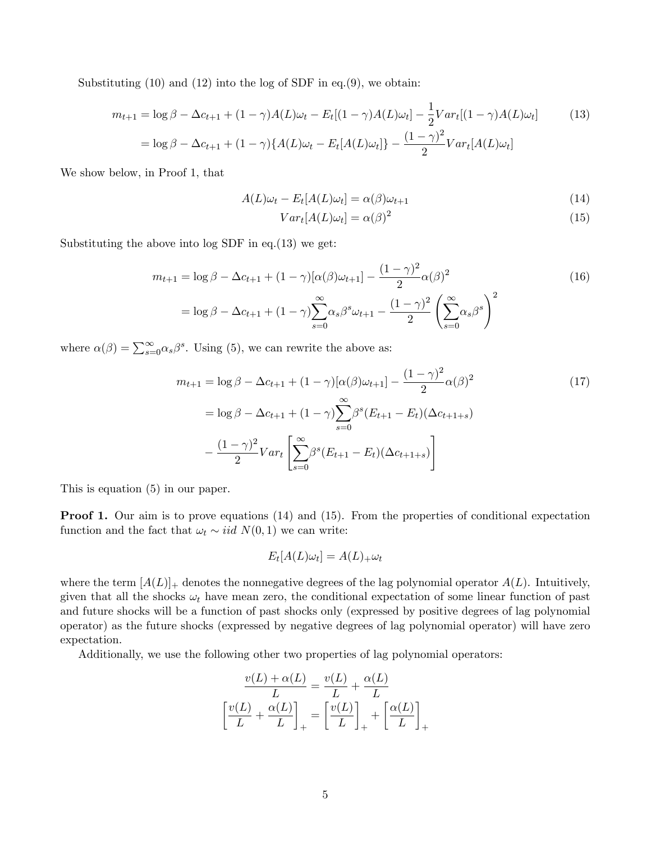Substituting  $(10)$  and  $(12)$  into the log of SDF in eq. $(9)$ , we obtain:

$$
m_{t+1} = \log \beta - \Delta c_{t+1} + (1 - \gamma)A(L)\omega_t - E_t[(1 - \gamma)A(L)\omega_t] - \frac{1}{2}Var_t[(1 - \gamma)A(L)\omega_t]
$$
(13)  
=  $\log \beta - \Delta c_{t+1} + (1 - \gamma)\{A(L)\omega_t - E_t[A(L)\omega_t]\} - \frac{(1 - \gamma)^2}{2}Var_t[A(L)\omega_t]$ 

We show below, in Proof 1, that

$$
A(L)\omega_t - E_t[A(L)\omega_t] = \alpha(\beta)\omega_{t+1}
$$
\n(14)

$$
Var_t[A(L)\omega_t] = \alpha(\beta)^2 \tag{15}
$$

Substituting the above into log SDF in eq.(13) we get:

$$
m_{t+1} = \log \beta - \Delta c_{t+1} + (1 - \gamma) [\alpha(\beta)\omega_{t+1}] - \frac{(1 - \gamma)^2}{2} \alpha(\beta)^2
$$
  
=  $\log \beta - \Delta c_{t+1} + (1 - \gamma) \sum_{s=0}^{\infty} \alpha_s \beta^s \omega_{t+1} - \frac{(1 - \gamma)^2}{2} \left( \sum_{s=0}^{\infty} \alpha_s \beta^s \right)^2$  (16)

where  $\alpha(\beta) = \sum_{s=0}^{\infty} \alpha_s \beta^s$ . Using (5), we can rewrite the above as:

$$
m_{t+1} = \log \beta - \Delta c_{t+1} + (1 - \gamma) [\alpha(\beta)\omega_{t+1}] - \frac{(1 - \gamma)^2}{2} \alpha(\beta)^2
$$
  
\n
$$
= \log \beta - \Delta c_{t+1} + (1 - \gamma) \sum_{s=0}^{\infty} \beta^s (E_{t+1} - E_t) (\Delta c_{t+1+s})
$$
  
\n
$$
- \frac{(1 - \gamma)^2}{2} Var_t \left[ \sum_{s=0}^{\infty} \beta^s (E_{t+1} - E_t) (\Delta c_{t+1+s}) \right]
$$
 (17)

This is equation (5) in our paper.

**Proof 1.** Our aim is to prove equations (14) and (15). From the properties of conditional expectation function and the fact that  $\omega_t \sim \text{iid } N(0, 1)$  we can write:

$$
E_t[A(L)\omega_t] = A(L)_{+}\omega_t
$$

where the term  $[A(L)]_+$  denotes the nonnegative degrees of the lag polynomial operator  $A(L)$ . Intuitively, given that all the shocks  $\omega_t$  have mean zero, the conditional expectation of some linear function of past and future shocks will be a function of past shocks only (expressed by positive degrees of lag polynomial operator) as the future shocks (expressed by negative degrees of lag polynomial operator) will have zero expectation.

Additionally, we use the following other two properties of lag polynomial operators:

$$
\frac{v(L) + \alpha(L)}{L} = \frac{v(L)}{L} + \frac{\alpha(L)}{L}
$$

$$
\left[\frac{v(L)}{L} + \frac{\alpha(L)}{L}\right]_+ = \left[\frac{v(L)}{L}\right]_+ + \left[\frac{\alpha(L)}{L}\right]_+
$$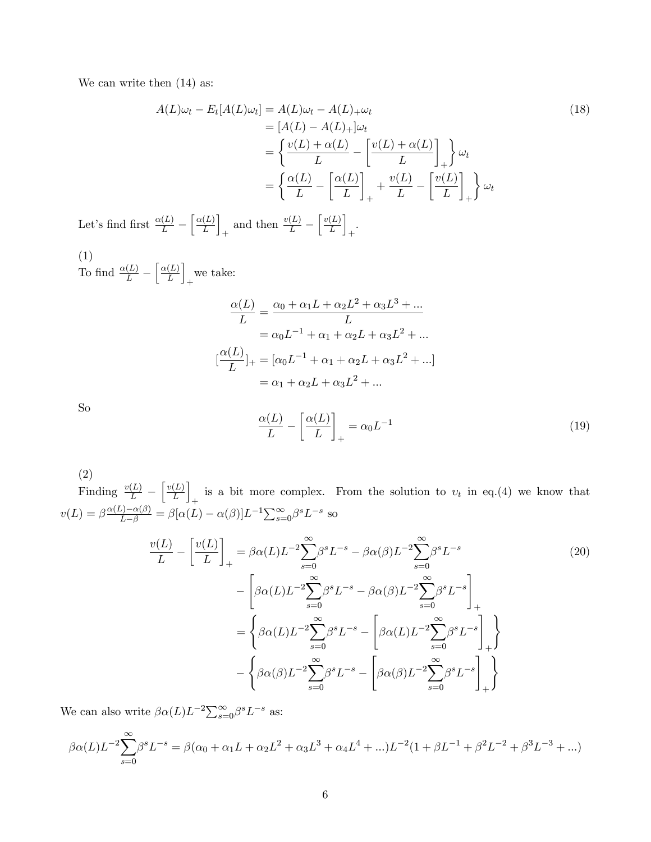We can write then  $(14)$  as:

$$
A(L)\omega_t - E_t[A(L)\omega_t] = A(L)\omega_t - A(L)_{+}\omega_t
$$
  
\n
$$
= [A(L) - A(L)_{+}]\omega_t
$$
  
\n
$$
= \left\{ \frac{v(L) + \alpha(L)}{L} - \left[ \frac{v(L) + \alpha(L)}{L} \right]_{+} \right\} \omega_t
$$
  
\n
$$
= \left\{ \frac{\alpha(L)}{L} - \left[ \frac{\alpha(L)}{L} \right]_{+} + \frac{v(L)}{L} - \left[ \frac{v(L)}{L} \right]_{+} \right\} \omega_t
$$
\n(18)

Let's find first  $\frac{\alpha(L)}{L}$  –  $\lceil \alpha(L) \rceil$ L i  $+$  and then  $\frac{v(L)}{L}$  –  $\lceil v(L) \rceil$ L i + .

(1) To find  $\frac{\alpha(L)}{L}$  –  $\int \alpha(L)$ L i + we take:

$$
\frac{\alpha(L)}{L} = \frac{\alpha_0 + \alpha_1 L + \alpha_2 L^2 + \alpha_3 L^3 + \dots}{L}
$$
  
=  $\alpha_0 L^{-1} + \alpha_1 + \alpha_2 L + \alpha_3 L^2 + \dots$   

$$
[\frac{\alpha(L)}{L}]_+ = [\alpha_0 L^{-1} + \alpha_1 + \alpha_2 L + \alpha_3 L^2 + \dots]
$$
  
=  $\alpha_1 + \alpha_2 L + \alpha_3 L^2 + \dots$ 

So

$$
\frac{\alpha(L)}{L} - \left[\frac{\alpha(L)}{L}\right]_+ = \alpha_0 L^{-1} \tag{19}
$$

(2)

Finding  $\frac{v(L)}{L}$  –  $\lceil v(L) \rceil$ L i is a bit more complex. From the solution to  $v_t$  in eq.(4) we know that  $v(L) = \beta \frac{\alpha(L) - \alpha(\beta)}{L - \beta} = \beta[\alpha(L) - \alpha(\beta)]L^{-1} \sum_{s=0}^{\infty} \beta^s L^{-s}$  so

$$
\frac{v(L)}{L} - \left[\frac{v(L)}{L}\right]_{+} = \beta\alpha(L)L^{-2}\sum_{s=0}^{\infty}\beta^{s}L^{-s} - \beta\alpha(\beta)L^{-2}\sum_{s=0}^{\infty}\beta^{s}L^{-s}
$$
\n
$$
- \left[\beta\alpha(L)L^{-2}\sum_{s=0}^{\infty}\beta^{s}L^{-s} - \beta\alpha(\beta)L^{-2}\sum_{s=0}^{\infty}\beta^{s}L^{-s}\right]_{+}
$$
\n
$$
= \left\{\beta\alpha(L)L^{-2}\sum_{s=0}^{\infty}\beta^{s}L^{-s} - \left[\beta\alpha(L)L^{-2}\sum_{s=0}^{\infty}\beta^{s}L^{-s}\right]_{+}\right\}
$$
\n
$$
- \left\{\beta\alpha(\beta)L^{-2}\sum_{s=0}^{\infty}\beta^{s}L^{-s} - \left[\beta\alpha(\beta)L^{-2}\sum_{s=0}^{\infty}\beta^{s}L^{-s}\right]_{+}\right\}
$$
\n(20)

We can also write  $\beta \alpha(L) L^{-2} \sum_{s=0}^{\infty} \beta^s L^{-s}$  as:

$$
\beta \alpha(L)L^{-2} \sum_{s=0}^{\infty} \beta^s L^{-s} = \beta(\alpha_0 + \alpha_1 L + \alpha_2 L^2 + \alpha_3 L^3 + \alpha_4 L^4 + ...)L^{-2} (1 + \beta L^{-1} + \beta^2 L^{-2} + \beta^3 L^{-3} + ...)
$$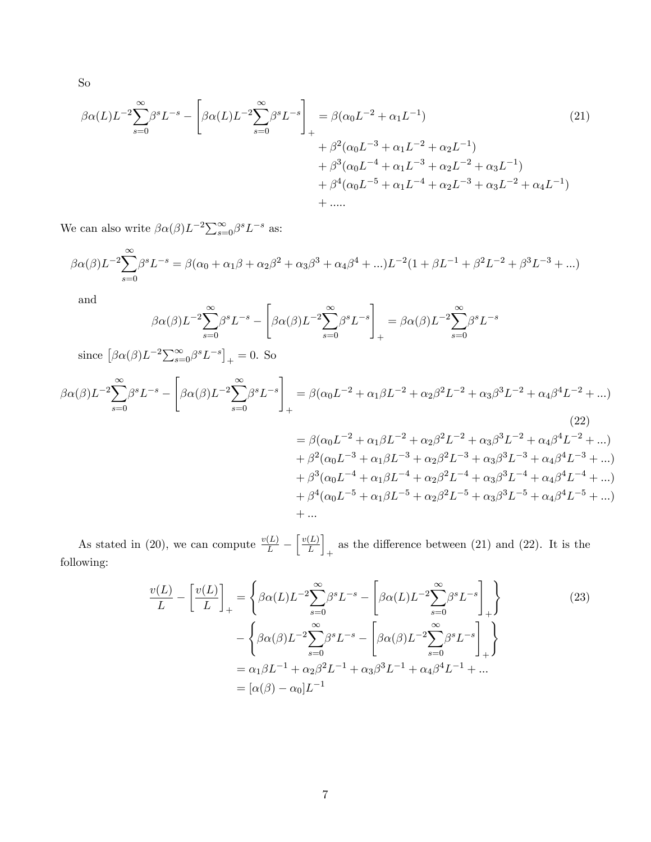So

$$
\beta \alpha(L)L^{-2} \sum_{s=0}^{\infty} \beta^s L^{-s} - \left[ \beta \alpha(L)L^{-2} \sum_{s=0}^{\infty} \beta^s L^{-s} \right]_+ = \beta(\alpha_0 L^{-2} + \alpha_1 L^{-1}) + \beta^2(\alpha_0 L^{-3} + \alpha_1 L^{-2} + \alpha_2 L^{-1}) + \beta^3(\alpha_0 L^{-4} + \alpha_1 L^{-3} + \alpha_2 L^{-2} + \alpha_3 L^{-1}) + \beta^4(\alpha_0 L^{-5} + \alpha_1 L^{-4} + \alpha_2 L^{-3} + \alpha_3 L^{-2} + \alpha_4 L^{-1}) + \dots
$$
\n(21)

We can also write  $\beta \alpha(\beta) L^{-2} \sum_{s=0}^{\infty} \beta^s L^{-s}$  as:

$$
\beta \alpha(\beta) L^{-2} \sum_{s=0}^{\infty} \beta^s L^{-s} = \beta(\alpha_0 + \alpha_1 \beta + \alpha_2 \beta^2 + \alpha_3 \beta^3 + \alpha_4 \beta^4 + ...)L^{-2} (1 + \beta L^{-1} + \beta^2 L^{-2} + \beta^3 L^{-3} + ...)
$$

and

$$
\beta \alpha(\beta) L^{-2} \sum_{s=0}^{\infty} \beta^s L^{-s} - \left[ \beta \alpha(\beta) L^{-2} \sum_{s=0}^{\infty} \beta^s L^{-s} \right]_+ = \beta \alpha(\beta) L^{-2} \sum_{s=0}^{\infty} \beta^s L^{-s}
$$

since  $\left[\beta \alpha(\beta)L^{-2}\sum_{s=0}^{\infty}\beta^{s}L^{-s}\right]_{+} = 0$ . So

$$
\beta \alpha(\beta) L^{-2} \sum_{s=0}^{\infty} \beta^s L^{-s} - \left[ \beta \alpha(\beta) L^{-2} \sum_{s=0}^{\infty} \beta^s L^{-s} \right]_+ = \beta(\alpha_0 L^{-2} + \alpha_1 \beta L^{-2} + \alpha_2 \beta^2 L^{-2} + \alpha_3 \beta^3 L^{-2} + \alpha_4 \beta^4 L^{-2} + \dots)
$$
\n(22)

= 
$$
\beta(\alpha_0 L^{-2} + \alpha_1 \beta L^{-2} + \alpha_2 \beta^2 L^{-2} + \alpha_3 \beta^3 L^{-2} + \alpha_4 \beta^4 L^{-2} + ...)
$$
  
+  $\beta^2(\alpha_0 L^{-3} + \alpha_1 \beta L^{-3} + \alpha_2 \beta^2 L^{-3} + \alpha_3 \beta^3 L^{-3} + \alpha_4 \beta^4 L^{-3} + ...)$   
+  $\beta^3(\alpha_0 L^{-4} + \alpha_1 \beta L^{-4} + \alpha_2 \beta^2 L^{-4} + \alpha_3 \beta^3 L^{-4} + \alpha_4 \beta^4 L^{-4} + ...)$   
+  $\beta^4(\alpha_0 L^{-5} + \alpha_1 \beta L^{-5} + \alpha_2 \beta^2 L^{-5} + \alpha_3 \beta^3 L^{-5} + \alpha_4 \beta^4 L^{-5} + ...)$   
+ ...

As stated in (20), we can compute  $\frac{v(L)}{L}$  –  $\lceil v(L) \rceil$ L i as the difference between  $(21)$  and  $(22)$ . It is the following:

$$
\frac{v(L)}{L} - \left[\frac{v(L)}{L}\right]_{+} = \left\{\beta\alpha(L)L^{-2}\sum_{s=0}^{\infty}\beta^{s}L^{-s} - \left[\beta\alpha(L)L^{-2}\sum_{s=0}^{\infty}\beta^{s}L^{-s}\right]_{+}\right\}
$$
\n
$$
- \left\{\beta\alpha(\beta)L^{-2}\sum_{s=0}^{\infty}\beta^{s}L^{-s} - \left[\beta\alpha(\beta)L^{-2}\sum_{s=0}^{\infty}\beta^{s}L^{-s}\right]_{+}\right\}
$$
\n
$$
= \alpha_{1}\beta L^{-1} + \alpha_{2}\beta^{2}L^{-1} + \alpha_{3}\beta^{3}L^{-1} + \alpha_{4}\beta^{4}L^{-1} + ...
$$
\n
$$
= [\alpha(\beta) - \alpha_{0}]L^{-1}
$$
\n(23)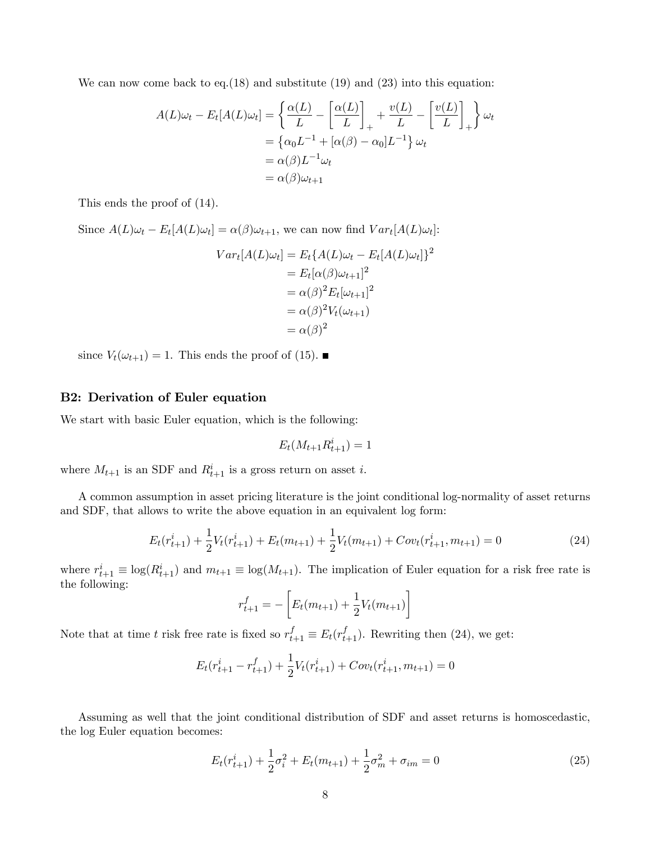We can now come back to eq.  $(18)$  and substitute  $(19)$  and  $(23)$  into this equation:

$$
A(L)\omega_t - E_t[A(L)\omega_t] = \left\{ \frac{\alpha(L)}{L} - \left[ \frac{\alpha(L)}{L} \right]_+ + \frac{v(L)}{L} - \left[ \frac{v(L)}{L} \right]_+ \right\} \omega_t
$$
  
=  $\left\{ \alpha_0 L^{-1} + [\alpha(\beta) - \alpha_0] L^{-1} \right\} \omega_t$   
=  $\alpha(\beta)L^{-1}\omega_t$   
=  $\alpha(\beta)\omega_{t+1}$ 

This ends the proof of (14).

Since  $A(L)\omega_t - E_t[A(L)\omega_t] = \alpha(\beta)\omega_{t+1}$ , we can now find  $Var_t[A(L)\omega_t]$ :

$$
Var_t[A(L)\omega_t] = E_t\{A(L)\omega_t - E_t[A(L)\omega_t]\}^2
$$
  
=  $E_t[\alpha(\beta)\omega_{t+1}]^2$   
=  $\alpha(\beta)^2 E_t[\omega_{t+1}]^2$   
=  $\alpha(\beta)^2 V_t(\omega_{t+1})$   
=  $\alpha(\beta)^2$ 

since  $V_t(\omega_{t+1}) = 1$ . This ends the proof of (15).

### B2: Derivation of Euler equation

We start with basic Euler equation, which is the following:

$$
E_t(M_{t+1}R_{t+1}^i) = 1
$$

where  $M_{t+1}$  is an SDF and  $R_{t+1}^i$  is a gross return on asset i.

A common assumption in asset pricing literature is the joint conditional log-normality of asset returns and SDF, that allows to write the above equation in an equivalent log form:

$$
E_t(r_{t+1}^i) + \frac{1}{2}V_t(r_{t+1}^i) + E_t(m_{t+1}) + \frac{1}{2}V_t(m_{t+1}) + Cov_t(r_{t+1}^i, m_{t+1}) = 0
$$
\n(24)

where  $r_{t+1}^i \equiv \log(R_{t+1}^i)$  and  $m_{t+1} \equiv \log(M_{t+1})$ . The implication of Euler equation for a risk free rate is the following:

$$
r_{t+1}^f = -\left[E_t(m_{t+1}) + \frac{1}{2}V_t(m_{t+1})\right]
$$

Note that at time t risk free rate is fixed so  $r_{t+1}^f \equiv E_t(r_{t+1}^f)$ . Rewriting then (24), we get:

$$
E_t(r_{t+1}^i - r_{t+1}^f) + \frac{1}{2}V_t(r_{t+1}^i) + Cov_t(r_{t+1}^i, m_{t+1}) = 0
$$

Assuming as well that the joint conditional distribution of SDF and asset returns is homoscedastic, the log Euler equation becomes:

$$
E_t(r_{t+1}^i) + \frac{1}{2}\sigma_i^2 + E_t(m_{t+1}) + \frac{1}{2}\sigma_m^2 + \sigma_{im} = 0
$$
\n(25)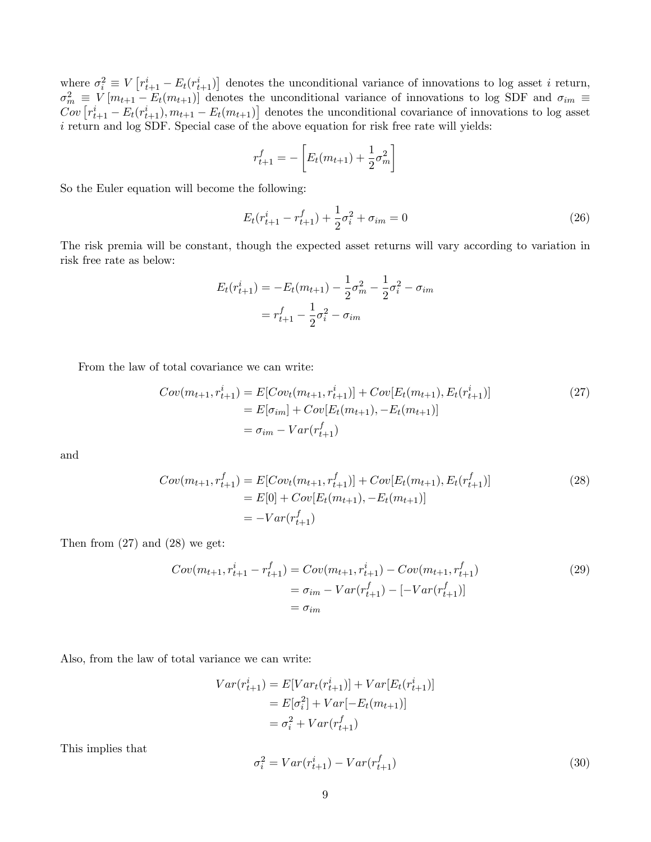where  $\sigma_i^2 \equiv V\left[r_{t+1}^i - E_t(r_{t+1}^i)\right]$  denotes the unconditional variance of innovations to log asset *i* return,  $\sigma_m^2 \equiv V[m_{t+1} - E_t(m_{t+1})]$  denotes the unconditional variance of innovations to log SDF and  $\sigma_{im} \equiv$  $Cov\left[r_{t+1}^i - E_t(r_{t+1}^i), m_{t+1} - E_t(m_{t+1})\right]$  denotes the unconditional covariance of innovations to log asset i return and log SDF. Special case of the above equation for risk free rate will yields:

$$
r_{t+1}^{f} = -\left[E_t(m_{t+1}) + \frac{1}{2}\sigma_m^2\right]
$$

So the Euler equation will become the following:

$$
E_t(r_{t+1}^i - r_{t+1}^f) + \frac{1}{2}\sigma_i^2 + \sigma_{im} = 0
$$
\n(26)

The risk premia will be constant, though the expected asset returns will vary according to variation in risk free rate as below:

$$
E_t(r_{t+1}^i) = -E_t(m_{t+1}) - \frac{1}{2}\sigma_m^2 - \frac{1}{2}\sigma_i^2 - \sigma_{im}
$$

$$
= r_{t+1}^f - \frac{1}{2}\sigma_i^2 - \sigma_{im}
$$

From the law of total covariance we can write:

$$
Cov(m_{t+1}, r_{t+1}^i) = E[Cov_t(m_{t+1}, r_{t+1}^i)] + Cov[E_t(m_{t+1}), E_t(r_{t+1}^i)]
$$
  
=  $E[\sigma_{im}] + Cov[E_t(m_{t+1}), -E_t(m_{t+1})]$   
=  $\sigma_{im} - Var(r_{t+1}^f)$  (27)

and

$$
Cov(m_{t+1}, r_{t+1}^f) = E[Cov_t(m_{t+1}, r_{t+1}^f)] + Cov[E_t(m_{t+1}), E_t(r_{t+1}^f)]
$$
  
=  $E[0] + Cov[E_t(m_{t+1}), -E_t(m_{t+1})]$   
=  $-Var(r_{t+1}^f)$  (28)

Then from  $(27)$  and  $(28)$  we get:

$$
Cov(m_{t+1}, r_{t+1}^i - r_{t+1}^f) = Cov(m_{t+1}, r_{t+1}^i) - Cov(m_{t+1}, r_{t+1}^f)
$$
  
=  $\sigma_{im} - Var(r_{t+1}^f) - [-Var(r_{t+1}^f)]$   
=  $\sigma_{im}$  (29)

Also, from the law of total variance we can write:

$$
Var(r_{t+1}^i) = E[Var_t(r_{t+1}^i)] + Var[E_t(r_{t+1}^i)]
$$
  
=  $E[\sigma_i^2] + Var[-E_t(m_{t+1})]$   
=  $\sigma_i^2 + Var(r_{t+1}^f)$ 

This implies that

$$
\sigma_i^2 = Var(r_{t+1}^i) - Var(r_{t+1}^f)
$$
\n(30)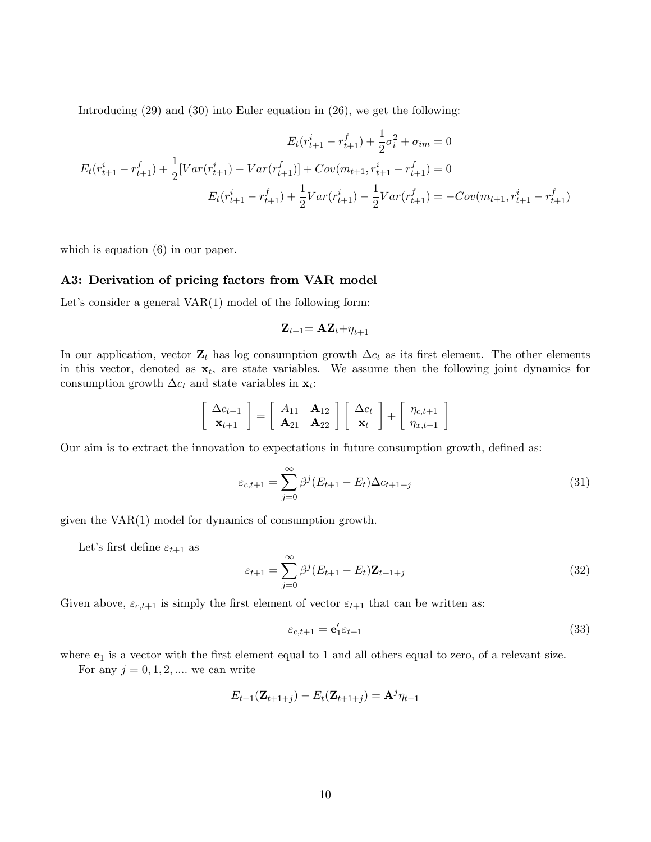Introducing (29) and (30) into Euler equation in (26), we get the following:

$$
E_t(r_{t+1}^i - r_{t+1}^f) + \frac{1}{2}\sigma_t^2 + \sigma_{im} = 0
$$
  

$$
E_t(r_{t+1}^i - r_{t+1}^f) + \frac{1}{2}[Var(r_{t+1}^i) - Var(r_{t+1}^f)] + Cov(m_{t+1}, r_{t+1}^i - r_{t+1}^f) = 0
$$
  

$$
E_t(r_{t+1}^i - r_{t+1}^f) + \frac{1}{2}Var(r_{t+1}^i) - \frac{1}{2}Var(r_{t+1}^f) = -Cov(m_{t+1}, r_{t+1}^i - r_{t+1}^f)
$$

which is equation  $(6)$  in our paper.

### A3: Derivation of pricing factors from VAR model

Let's consider a general  $VAR(1)$  model of the following form:

$$
\mathbf{Z}_{t+1} \mathbf{=} \mathbf{A} \mathbf{Z}_{t} \mathbf{+} \eta_{t+1}
$$

In our application, vector  $\mathbf{Z}_t$  has log consumption growth  $\Delta c_t$  as its first element. The other elements in this vector, denoted as  $x_t$ , are state variables. We assume then the following joint dynamics for consumption growth  $\Delta c_t$  and state variables in  $\mathbf{x}_t$ :

$$
\left[\begin{array}{c} \Delta c_{t+1} \\ \mathbf{x}_{t+1} \end{array}\right] = \left[\begin{array}{cc} A_{11} & \mathbf{A}_{12} \\ \mathbf{A}_{21} & \mathbf{A}_{22} \end{array}\right] \left[\begin{array}{c} \Delta c_t \\ \mathbf{x}_t \end{array}\right] + \left[\begin{array}{c} \eta_{c,t+1} \\ \eta_{x,t+1} \end{array}\right]
$$

Our aim is to extract the innovation to expectations in future consumption growth, defined as:

$$
\varepsilon_{c,t+1} = \sum_{j=0}^{\infty} \beta^j (E_{t+1} - E_t) \Delta c_{t+1+j}
$$
\n(31)

given the VAR(1) model for dynamics of consumption growth.

Let's first define  $\varepsilon_{t+1}$  as

$$
\varepsilon_{t+1} = \sum_{j=0}^{\infty} \beta^j (E_{t+1} - E_t) \mathbf{Z}_{t+1+j}
$$
\n(32)

Given above,  $\varepsilon_{c,t+1}$  is simply the first element of vector  $\varepsilon_{t+1}$  that can be written as:

$$
\varepsilon_{c,t+1} = \mathbf{e}'_1 \varepsilon_{t+1} \tag{33}
$$

where  $e_1$  is a vector with the first element equal to 1 and all others equal to zero, of a relevant size.

For any  $j = 0, 1, 2, \dots$  we can write

$$
E_{t+1}(\mathbf{Z}_{t+1+j}) - E_t(\mathbf{Z}_{t+1+j}) = \mathbf{A}^j \eta_{t+1}
$$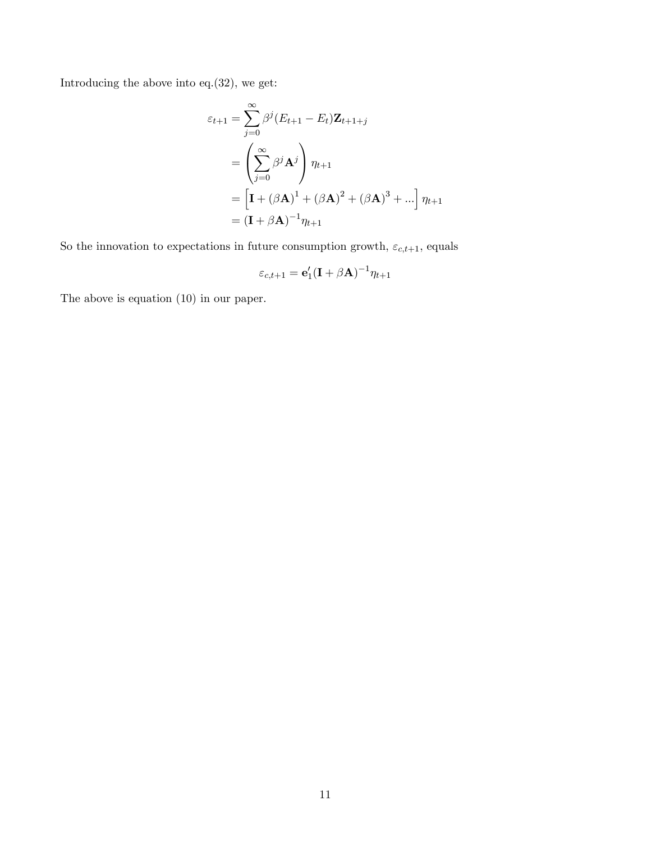Introducing the above into eq.(32), we get:

$$
\varepsilon_{t+1} = \sum_{j=0}^{\infty} \beta^j (E_{t+1} - E_t) \mathbf{Z}_{t+1+j}
$$
  
= 
$$
\left( \sum_{j=0}^{\infty} \beta^j \mathbf{A}^j \right) \eta_{t+1}
$$
  
= 
$$
\left[ \mathbf{I} + (\beta \mathbf{A})^1 + (\beta \mathbf{A})^2 + (\beta \mathbf{A})^3 + \ldots \right] \eta_{t+1}
$$
  
= 
$$
(\mathbf{I} + \beta \mathbf{A})^{-1} \eta_{t+1}
$$

So the innovation to expectations in future consumption growth,  $\varepsilon_{c,t+1},$  equals

$$
\varepsilon_{c,t+1} = \mathbf{e}'_1 (\mathbf{I} + \beta \mathbf{A})^{-1} \eta_{t+1}
$$

The above is equation (10) in our paper.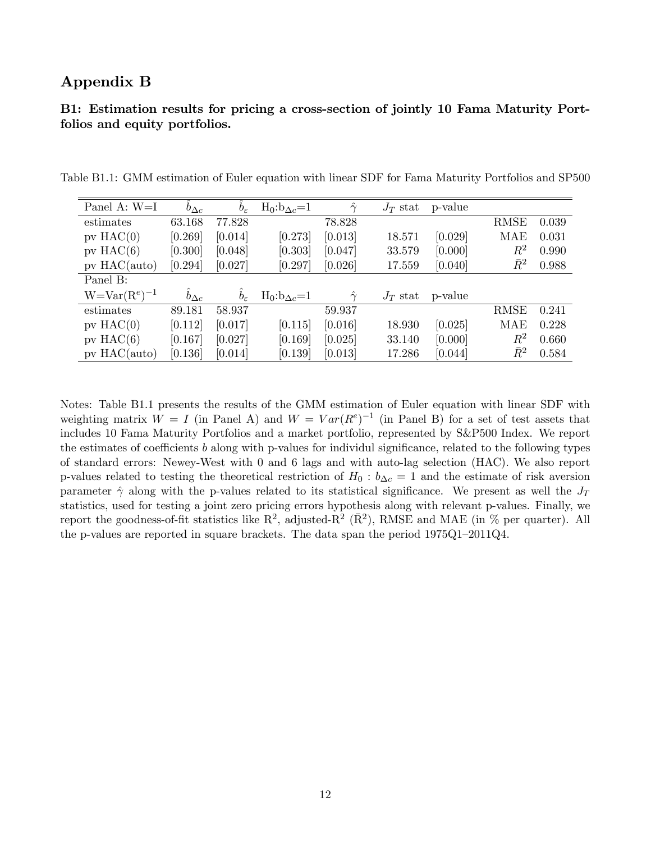# Appendix B

# B1: Estimation results for pricing a cross-section of jointly 10 Fama Maturity Portfolios and equity portfolios.

| Panel A: $W=I$      | $b_{\Delta c}$ | $b_{\varepsilon}$ | $H_0:b_{\Delta c}=1$ | $\hat{\gamma}$ | $J_T$ stat | p-value |             |       |
|---------------------|----------------|-------------------|----------------------|----------------|------------|---------|-------------|-------|
| estimates           | 63.168         | 77.828            |                      | 78.828         |            |         | <b>RMSE</b> | 0.039 |
| $pv$ HAC $(0)$      | $[0.269]$      | [0.014]           | [0.273]              | [0.013]        | 18.571     | [0.029] | MAE         | 0.031 |
| $pv$ HAC $(6)$      | [0.300]        | [0.048]           | [0.303]              | [0.047]        | 33.579     | [0.000] | $\,R^2$     | 0.990 |
| $pv$ HAC(auto)      | [0.294]        | [0.027]           | [0.297]              | [0.026]        | 17.559     | [0.040] | $\bar{R}^2$ | 0.988 |
| Panel B:            |                |                   |                      |                |            |         |             |       |
| $W = Var(R^e)^{-1}$ | $b_{\Delta c}$ | $b_{\varepsilon}$ | $H_0:b_{\Delta c}=1$ | $\hat{\gamma}$ | $J_T$ stat | p-value |             |       |
| estimates           | 89.181         | 58.937            |                      | 59.937         |            |         | <b>RMSE</b> | 0.241 |
| $pv$ HAC $(0)$      | [0.112]        | [0.017]           | [0.115]              | [0.016]        | 18.930     | [0.025] | MAE         | 0.228 |
| $pv$ HAC $(6)$      | [0.167]        | [0.027]           | [0.169]              | [0.025]        | 33.140     | [0.000] | $R^2$       | 0.660 |
| $pv$ HAC(auto)      | [0.136]        | [0.014]           | [0.139]              | [0.013]        | 17.286     | [0.044] | $\bar{R}^2$ | 0.584 |

Table B1.1: GMM estimation of Euler equation with linear SDF for Fama Maturity Portfolios and SP500

Notes: Table B1.1 presents the results of the GMM estimation of Euler equation with linear SDF with weighting matrix  $W = I$  (in Panel A) and  $W = Var(R^e)^{-1}$  (in Panel B) for a set of test assets that includes 10 Fama Maturity Portfolios and a market portfolio, represented by S&P500 Index. We report the estimates of coefficients b along with p-values for individul significance, related to the following types of standard errors: Newey-West with 0 and 6 lags and with auto-lag selection (HAC). We also report p-values related to testing the theoretical restriction of  $H_0 : b_{\Delta c} = 1$  and the estimate of risk aversion parameter  $\hat{\gamma}$  along with the p-values related to its statistical significance. We present as well the  $J_T$ statistics, used for testing a joint zero pricing errors hypothesis along with relevant p-values. Finally, we report the goodness-of-fit statistics like  $R^2$ , adjusted- $R^2$  ( $\bar{R}^2$ ), RMSE and MAE (in % per quarter). All the p-values are reported in square brackets. The data span the period  $1975Q1-2011Q4$ .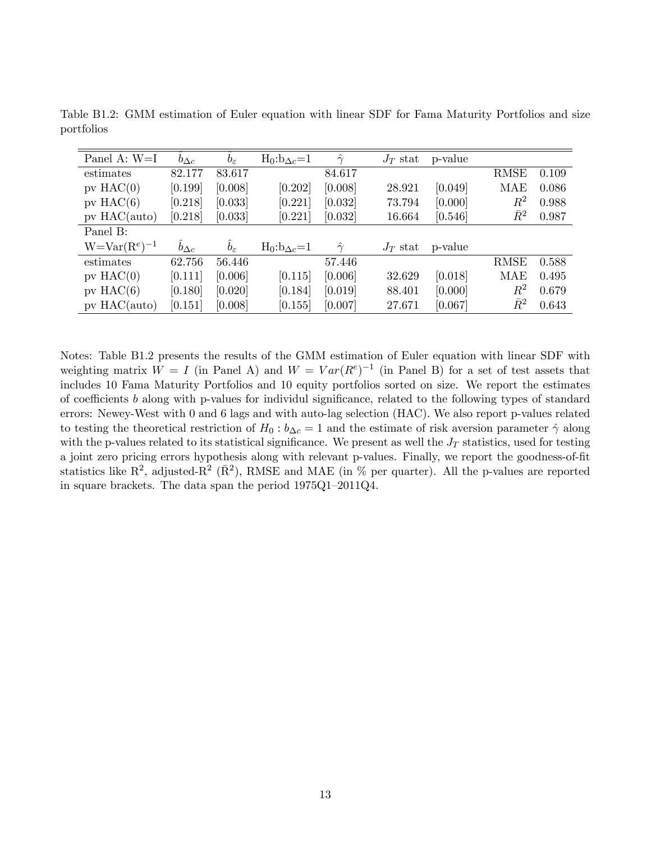| Panel A: W=I        | $b_{\Delta c}$ | $b_{\varepsilon}$ | $H_0:b_{\Delta c}=1$  | $\hat{\gamma}$ | $J_T$ stat | p-value |             |       |
|---------------------|----------------|-------------------|-----------------------|----------------|------------|---------|-------------|-------|
| estimates           | 82.177         | 83.617            |                       | 84.617         |            |         | <b>RMSE</b> | 0.109 |
| $pv$ HAC $(0)$      | [0.199]        | [0.008]           | [0.202]               | [0.008]        | 28.921     | [0.049] | <b>MAE</b>  | 0.086 |
| $pv$ HAC $(6)$      | [0.218]        | [0.033]           | [0.221]               | [0.032]        | 73.794     | [0.000] | $R^2$       | 0.988 |
| $pv$ HAC(auto)      | [0.218]        | [0.033]           | [0.221]               | [0.032]        | 16.664     | [0.546] | $\bar{R}^2$ | 0.987 |
| Panel B:            |                |                   |                       |                |            |         |             |       |
| $W = Var(R^e)^{-1}$ | $b_{\Delta c}$ | $b_{\varepsilon}$ | $H_0: b_{\Delta c}=1$ | $\hat{\gamma}$ | $J_T$ stat | p-value |             |       |
| estimates           | 62.756         | 56.446            |                       | 57.446         |            |         | <b>RMSE</b> | 0.588 |
| $pv$ HAC $(0)$      | [0.111]        | [0.006]           | [0.115]               | [0.006]        | 32.629     | [0.018] | MAE         | 0.495 |
| $pv$ HAC $(6)$      | [0.180]        | [0.020]           | [0.184]               | [0.019]        | 88.401     | [0.000] | $\,R^2$     | 0.679 |
| $pv$ HAC(auto)      | [0.151]        | [0.008]           | [0.155]               | [0.007]        | 27.671     | [0.067] | $\bar{R}^2$ | 0.643 |

Table B1.2: GMM estimation of Euler equation with linear SDF for Fama Maturity Portfolios and size portfolios

Notes: Table B1.2 presents the results of the GMM estimation of Euler equation with linear SDF with weighting matrix  $W = I$  (in Panel A) and  $W = Var(R^e)^{-1}$  (in Panel B) for a set of test assets that includes 10 Fama Maturity Portfolios and 10 equity portfolios sorted on size. We report the estimates of coefficients b along with p-values for individul significance, related to the following types of standard errors: Newey-West with 0 and 6 lags and with auto-lag selection (HAC). We also report p-values related to testing the theoretical restriction of  $H_0: b_{\Delta c} = 1$  and the estimate of risk aversion parameter  $\hat{\gamma}$  along with the p-values related to its statistical significance. We present as well the  $J_T$  statistics, used for testing a joint zero pricing errors hypothesis along with relevant p-values. Finally, we report the goodness-of-fit statistics like  $\mathbb{R}^2$ , adjusted- $\mathbb{R}^2$  ( $\bar{\mathbb{R}}^2$ ), RMSE and MAE (in % per quarter). All the p-values are reported in square brackets. The data span the period  $1975Q1-2011Q4$ .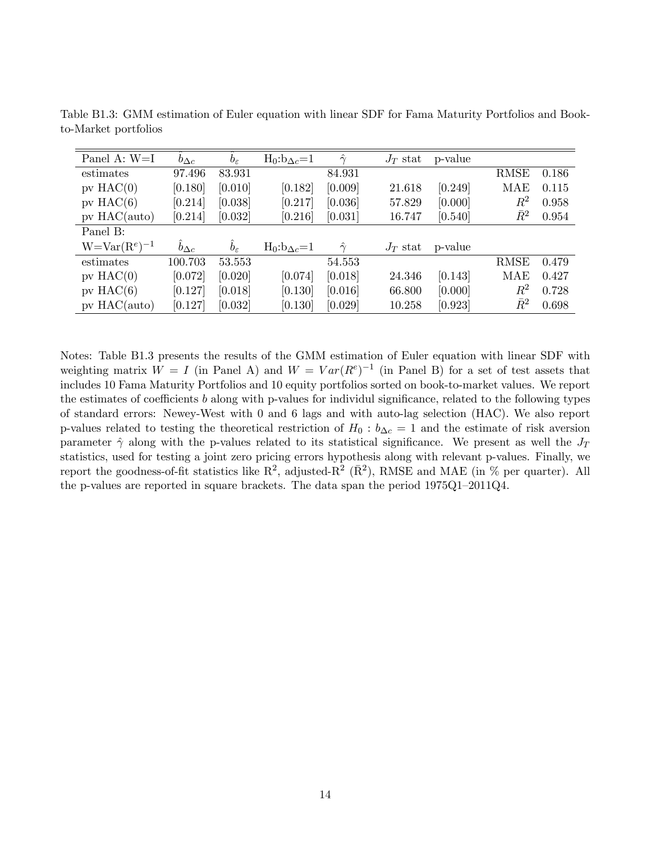| Panel A: W=I        | $b_{\Delta c}$ | $b_{\varepsilon}$ | $H_0:b_{\Delta c}=1$ | $\hat{\gamma}$ | $J_T$ stat | p-value |             |       |
|---------------------|----------------|-------------------|----------------------|----------------|------------|---------|-------------|-------|
| estimates           | 97.496         | 83.931            |                      | 84.931         |            |         | <b>RMSE</b> | 0.186 |
| $pv$ HAC $(0)$      | [0.180]        | [0.010]           | [0.182]              | [0.009]        | 21.618     | [0.249] | <b>MAE</b>  | 0.115 |
| $pv$ HAC $(6)$      | [0.214]        | [0.038]           | [0.217]              | [0.036]        | 57.829     | [0.000] | $R^2$       | 0.958 |
| $pv$ HAC(auto)      | [0.214]        | [0.032]           | [0.216]              | [0.031]        | 16.747     | [0.540] | $\bar{R}^2$ | 0.954 |
| Panel B:            |                |                   |                      |                |            |         |             |       |
| $W = Var(R^e)^{-1}$ | $b_{\Delta c}$ | $b_{\varepsilon}$ | $H_0:b_{\Delta c}=1$ | $\hat{\gamma}$ | $J_T$ stat | p-value |             |       |
| estimates           | 100.703        | 53.553            |                      | 54.553         |            |         | <b>RMSE</b> | 0.479 |
| $pv$ HAC $(0)$      | [0.072]        | [0.020]           | [0.074]              | [0.018]        | 24.346     | [0.143] | <b>MAE</b>  | 0.427 |
| $pv$ HAC $(6)$      | [0.127]        | [0.018]           | [0.130]              | [0.016]        | 66.800     | [0.000] | $\,R^2$     | 0.728 |
| $pv$ HAC(auto)      | [0.127]        | [0.032]           | [0.130]              | [0.029]        | 10.258     | [0.923] | $\bar{R}^2$ | 0.698 |

Table B1.3: GMM estimation of Euler equation with linear SDF for Fama Maturity Portfolios and Bookto-Market portfolios

Notes: Table B1.3 presents the results of the GMM estimation of Euler equation with linear SDF with weighting matrix  $W = I$  (in Panel A) and  $W = Var(R^e)^{-1}$  (in Panel B) for a set of test assets that includes 10 Fama Maturity Portfolios and 10 equity portfolios sorted on book-to-market values. We report the estimates of coefficients b along with p-values for individul significance, related to the following types of standard errors: Newey-West with 0 and 6 lags and with auto-lag selection (HAC). We also report p-values related to testing the theoretical restriction of  $H_0 : b_{\Delta c} = 1$  and the estimate of risk aversion parameter  $\hat{\gamma}$  along with the p-values related to its statistical significance. We present as well the  $J_T$ statistics, used for testing a joint zero pricing errors hypothesis along with relevant p-values. Finally, we report the goodness-of-fit statistics like  $R^2$ , adjusted- $R^2$  ( $\bar{R}^2$ ), RMSE and MAE (in % per quarter). All the p-values are reported in square brackets. The data span the period  $1975Q1-2011Q4$ .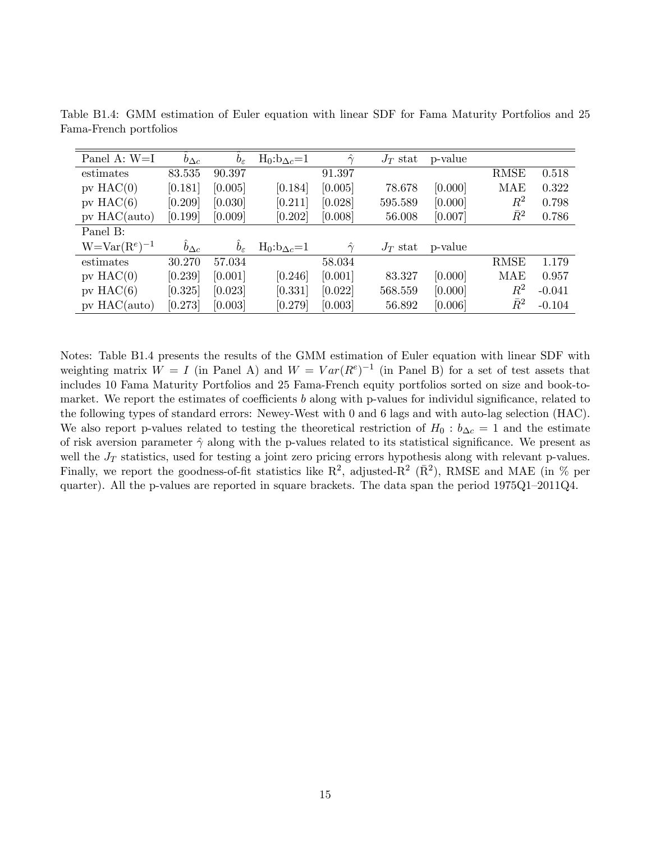| Panel A: W=I        | $b_{\Delta c}$ | $b_{\varepsilon}$ | $H_0:b_{\Delta c}=1$  | $\hat{\gamma}$ | $J_T$ stat | p-value |             |          |
|---------------------|----------------|-------------------|-----------------------|----------------|------------|---------|-------------|----------|
| estimates           | 83.535         | 90.397            |                       | 91.397         |            |         | <b>RMSE</b> | 0.518    |
| $pv$ HAC $(0)$      | [0.181]        | [0.005]           | [0.184]               | [0.005]        | 78.678     | [0.000] | MAE         | 0.322    |
| $pv$ HAC $(6)$      | [0.209]        | [0.030]           | [0.211]               | [0.028]        | 595.589    | [0.000] | $R^2$       | 0.798    |
| $pv$ HAC(auto)      | [0.199]        | [0.009]           | [0.202]               | [0.008]        | 56.008     | [0.007] | $\bar{R}^2$ | 0.786    |
| Panel B:            |                |                   |                       |                |            |         |             |          |
| $W = Var(R^e)^{-1}$ | $b_{\Delta c}$ | $b_{\varepsilon}$ | $H_0: b_{\Delta c}=1$ | $\hat{\gamma}$ | $J_T$ stat | p-value |             |          |
| estimates           | 30.270         | 57.034            |                       | 58.034         |            |         | <b>RMSE</b> | 1.179    |
| $pv$ HAC $(0)$      | [0.239]        | [0.001]           | [0.246]               | [0.001]        | 83.327     | [0.000] | MAE         | 0.957    |
| $pv$ HAC $(6)$      | [0.325]        | [0.023]           | [0.331]               | [0.022]        | 568.559    | [0.000] | $R^2$       | $-0.041$ |
| $pv$ HAC(auto)      | [0.273]        | [0.003]           | [0.279]               | [0.003]        | 56.892     | [0.006] | $\bar{R}^2$ | $-0.104$ |

Table B1.4: GMM estimation of Euler equation with linear SDF for Fama Maturity Portfolios and 25 Fama-French portfolios

Notes: Table B1.4 presents the results of the GMM estimation of Euler equation with linear SDF with weighting matrix  $W = I$  (in Panel A) and  $W = Var(R^e)^{-1}$  (in Panel B) for a set of test assets that includes 10 Fama Maturity Portfolios and 25 Fama-French equity portfolios sorted on size and book-tomarket. We report the estimates of coefficients b along with p-values for individul significance, related to the following types of standard errors: Newey-West with 0 and 6 lags and with auto-lag selection (HAC). We also report p-values related to testing the theoretical restriction of  $H_0 : b_{\Delta c} = 1$  and the estimate of risk aversion parameter  $\hat{\gamma}$  along with the p-values related to its statistical significance. We present as well the  $J_T$  statistics, used for testing a joint zero pricing errors hypothesis along with relevant p-values. Finally, we report the goodness-of-fit statistics like  $\mathbb{R}^2$ , adjusted- $\mathbb{R}^2$  ( $\bar{\mathbb{R}}^2$ ), RMSE and MAE (in % per quarter). All the p-values are reported in square brackets. The data span the period  $1975Q1-2011Q4$ .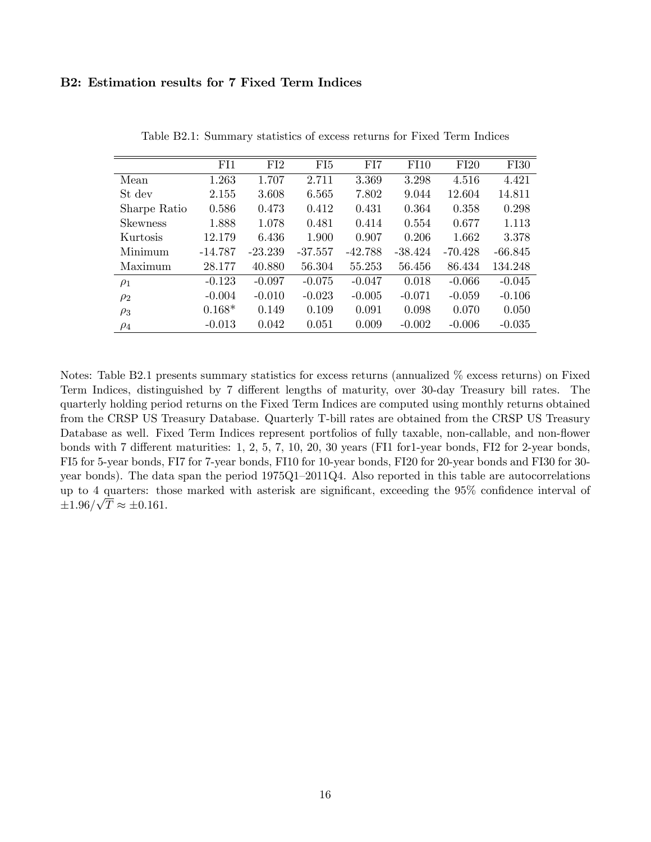## B2: Estimation results for 7 Fixed Term Indices

|                 | FI1       | FI2       | FI <sub>5</sub> | FI7       | FI10      | FI20      | <b>FI30</b> |
|-----------------|-----------|-----------|-----------------|-----------|-----------|-----------|-------------|
| Mean            | 1.263     | 1.707     | 2.711           | 3.369     | 3.298     | 4.516     | 4.421       |
| St dev          | 2.155     | 3.608     | 6.565           | 7.802     | 9.044     | 12.604    | 14.811      |
| Sharpe Ratio    | 0.586     | 0.473     | 0.412           | 0.431     | 0.364     | 0.358     | 0.298       |
| <b>Skewness</b> | 1.888     | 1.078     | 0.481           | 0.414     | 0.554     | 0.677     | 1.113       |
| Kurtosis        | 12.179    | 6.436     | 1.900           | 0.907     | 0.206     | 1.662     | 3.378       |
| Minimum         | $-14.787$ | $-23.239$ | $-37.557$       | $-42.788$ | $-38.424$ | $-70.428$ | $-66.845$   |
| Maximum         | 28.177    | 40.880    | 56.304          | 55.253    | 56.456    | 86.434    | 134.248     |
| $\rho_1$        | $-0.123$  | $-0.097$  | $-0.075$        | $-0.047$  | 0.018     | $-0.066$  | $-0.045$    |
| $\rho_2$        | $-0.004$  | $-0.010$  | $-0.023$        | $-0.005$  | $-0.071$  | $-0.059$  | $-0.106$    |
| $\rho_3$        | $0.168*$  | 0.149     | 0.109           | 0.091     | 0.098     | 0.070     | 0.050       |
| $\rho_4$        | $-0.013$  | 0.042     | 0.051           | 0.009     | $-0.002$  | $-0.006$  | $-0.035$    |

Table B2.1: Summary statistics of excess returns for Fixed Term Indices

Notes: Table B2.1 presents summary statistics for excess returns (annualized % excess returns) on Fixed Term Indices, distinguished by 7 different lengths of maturity, over 30-day Treasury bill rates. The quarterly holding period returns on the Fixed Term Indices are computed using monthly returns obtained from the CRSP US Treasury Database. Quarterly T-bill rates are obtained from the CRSP US Treasury Database as well. Fixed Term Indices represent portfolios of fully taxable, non-callable, and non-flower bonds with  $7$  different maturities: 1, 2, 5,  $7$ , 10, 20, 30 years (FI1 for 1-year bonds, FI2 for 2-year bonds, FI5 for 5-year bonds, FI7 for 7-year bonds, FI10 for 10-year bonds, FI20 for 20-year bonds and FI30 for 30 year bonds). The data span the period  $1975Q1-2011Q4$ . Also reported in this table are autocorrelations up to 4 quarters: those marked with asterisk are significant, exceeding the 95% confidence interval of  $\pm 1.96/\sqrt{T} \approx \pm 0.161.$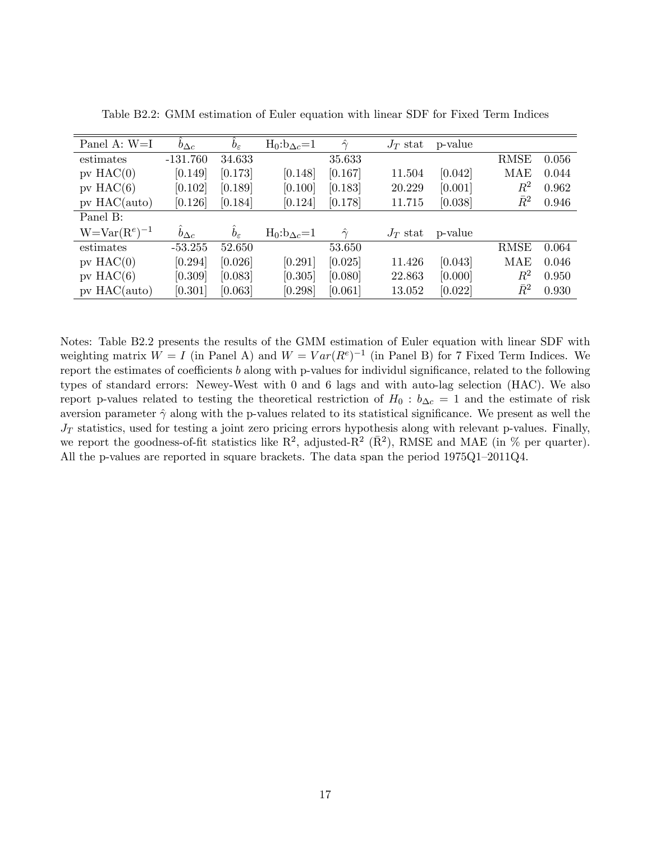| Panel A: $W=I$   | $b_{\Delta c}$ | $b_{\varepsilon}$ | $H_0:b_{\Delta c}=1$ | $\hat{\gamma}$ | $J_T$ stat | p-value |             |       |
|------------------|----------------|-------------------|----------------------|----------------|------------|---------|-------------|-------|
| estimates        | $-131.760$     | 34.633            |                      | 35.633         |            |         | <b>RMSE</b> | 0.056 |
| $pv$ HAC $(0)$   | [0.149]        | [0.173]           | [0.148]              | [0.167]        | 11.504     | [0.042] | MAE         | 0.044 |
| $pv$ HAC $(6)$   | [0.102]        | [0.189]           | [0.100]              | [0.183]        | 20.229     | [0.001] | $R^2$       | 0.962 |
| $pv$ HAC(auto)   | [0.126]        | [0.184]           | [0.124]              | [0.178]        | 11.715     | [0.038] | $\bar{R}^2$ | 0.946 |
| Panel B:         |                |                   |                      |                |            |         |             |       |
| $W=Var(Re)^{-1}$ | $b_{\Delta c}$ | $b_{\varepsilon}$ | $H_0:b_{\Delta c}=1$ | $\hat{\gamma}$ | $J_T$ stat | p-value |             |       |
| estimates        | $-53.255$      | 52.650            |                      | 53.650         |            |         | <b>RMSE</b> | 0.064 |
| $pv$ HAC $(0)$   | [0.294]        | [0.026]           | [0.291]              | [0.025]        | 11.426     | [0.043] | <b>MAE</b>  | 0.046 |
| $pv$ HAC $(6)$   | [0.309]        | [0.083]           | [0.305]              | [0.080]        | 22.863     | [0.000] | $\,R^2$     | 0.950 |
| $pv$ HAC(auto)   | [0.301]        | [0.063]           | [0.298]              | [0.061]        | 13.052     | [0.022] | $\bar{R}^2$ | 0.930 |

Table B2.2: GMM estimation of Euler equation with linear SDF for Fixed Term Indices

Notes: Table B2.2 presents the results of the GMM estimation of Euler equation with linear SDF with weighting matrix  $W = I$  (in Panel A) and  $W = Var(R^e)^{-1}$  (in Panel B) for 7 Fixed Term Indices. We report the estimates of coefficients  $b$  along with p-values for individul significance, related to the following types of standard errors: Newey-West with 0 and 6 lags and with auto-lag selection (HAC). We also report p-values related to testing the theoretical restriction of  $H_0 : b_{\Delta c} = 1$  and the estimate of risk aversion parameter  $\hat{\gamma}$  along with the p-values related to its statistical significance. We present as well the  $J_T$  statistics, used for testing a joint zero pricing errors hypothesis along with relevant p-values. Finally, we report the goodness-of-fit statistics like  $\mathbb{R}^2$ , adjusted- $\mathbb{R}^2$  ( $\bar{\mathbb{R}}^2$ ), RMSE and MAE (in % per quarter). All the p-values are reported in square brackets. The data span the period  $1975Q1-2011Q4$ .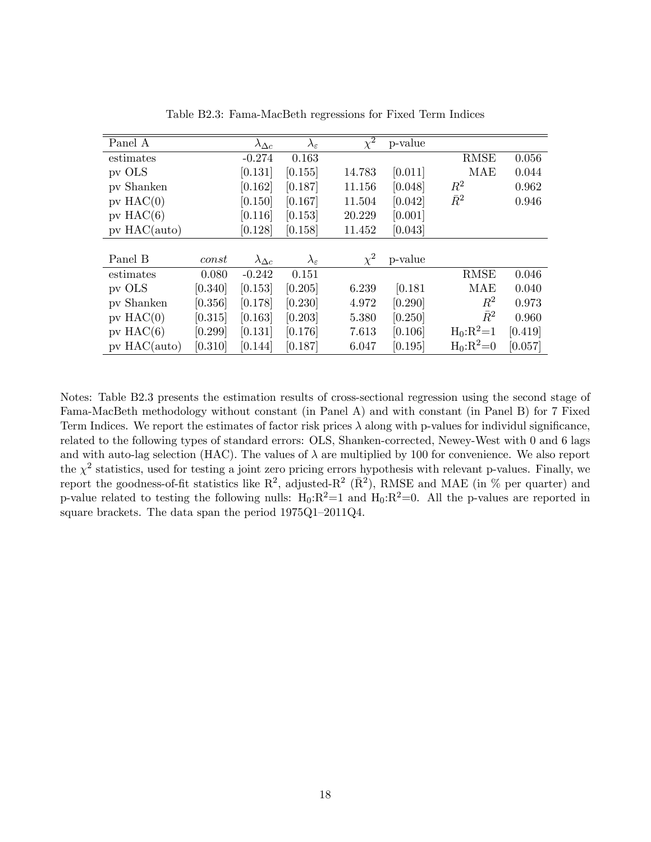| Panel A        |         | $\lambda_{\Delta c}$ | $\lambda_\varepsilon$ | $\overline{\chi^2}$ | p-value |              |         |
|----------------|---------|----------------------|-----------------------|---------------------|---------|--------------|---------|
| estimates      |         | $-0.274$             | 0.163                 |                     |         | RMSE         | 0.056   |
| pv OLS         |         | [0.131]              | [0.155]               | 14.783              | [0.011] | MAE          | 0.044   |
| pv Shanken     |         | [0.162]              | [0.187]               | 11.156              | [0.048] | $R^2$        | 0.962   |
| $pv$ HAC $(0)$ |         | [0.150]              | [0.167]               | 11.504              | [0.042] | $\bar{R}^2$  | 0.946   |
| $pv$ HAC $(6)$ |         | [0.116]              | [0.153]               | 20.229              | [0.001] |              |         |
| $pv$ HAC(auto) |         | [0.128]              | [0.158]               | 11.452              | [0.043] |              |         |
|                |         |                      |                       |                     |         |              |         |
| Panel B        | const   | $\lambda_{\Delta c}$ | $\lambda_\varepsilon$ | $\chi^2$            | p-value |              |         |
| estimates      | 0.080   | $-0.242$             | 0.151                 |                     |         | <b>RMSE</b>  | 0.046   |
| pv OLS         | [0.340] | [0.153]              | [0.205]               | 6.239               | [0.181] | MAE          | 0.040   |
| pv Shanken     | [0.356] | [0.178]              | [0.230]               | 4.972               | [0.290] | $\,R^2$      | 0.973   |
| $pv$ HAC $(0)$ | [0.315] | [0.163]              | [0.203]               | 5.380               | [0.250] | $\bar{R}^2$  | 0.960   |
| $pv$ HAC $(6)$ | [0.299] | [0.131]              | [0.176]               | 7.613               | [0.106] | $H_0: R^2=1$ | [0.419] |
| $pv$ HAC(auto) | [0.310] | [0.144]              | [0.187]               | 6.047               | [0.195] | $H_0:R^2=0$  | [0.057] |

Table B2.3: Fama-MacBeth regressions for Fixed Term Indices

Notes: Table B2.3 presents the estimation results of cross-sectional regression using the second stage of Fama-MacBeth methodology without constant (in Panel A) and with constant (in Panel B) for 7 Fixed Term Indices. We report the estimates of factor risk prices  $\lambda$  along with p-values for individul significance, related to the following types of standard errors: OLS, Shanken-corrected, Newey-West with 0 and 6 lags and with auto-lag selection (HAC). The values of  $\lambda$  are multiplied by 100 for convenience. We also report the  $\chi^2$  statistics, used for testing a joint zero pricing errors hypothesis with relevant p-values. Finally, we report the goodness-of-fit statistics like  $R^2$ , adjusted- $R^2$  ( $\bar{R}^2$ ), RMSE and MAE (in % per quarter) and p-value related to testing the following nulls:  $H_0:R^2=1$  and  $H_0:R^2=0$ . All the p-values are reported in square brackets. The data span the period  $1975Q1-2011Q4$ .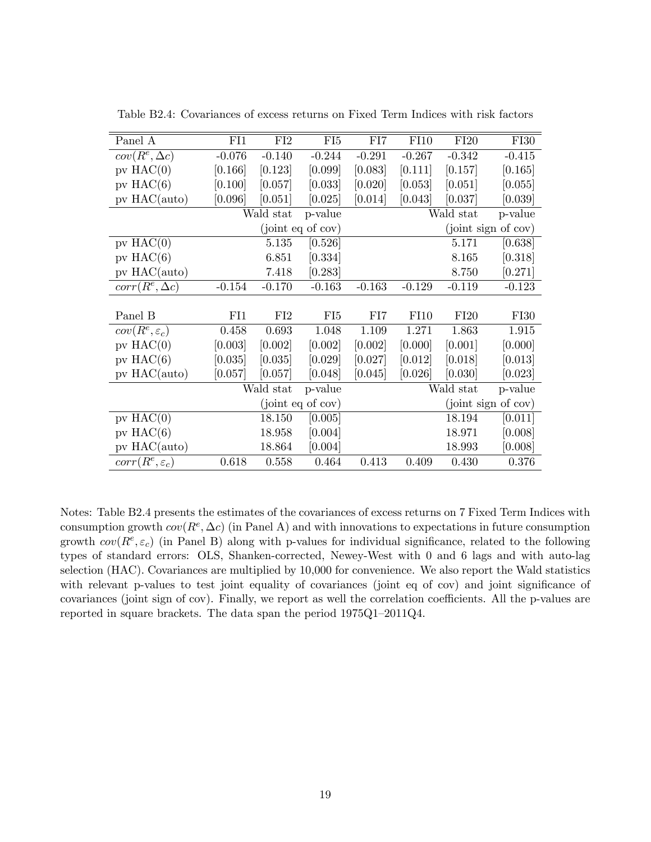| Panel A                    | FI1      | FI2       | ${\rm FI}5$       | FI7      | FI10     | FI20      | <b>FI30</b>         |
|----------------------------|----------|-----------|-------------------|----------|----------|-----------|---------------------|
| $cov(R^e, \Delta c)$       | $-0.076$ | $-0.140$  | $-0.244$          | $-0.291$ | $-0.267$ | $-0.342$  | $-0.415$            |
| $pv$ HAC $(0)$             | [0.166]  | [0.123]   | [0.099]           | [0.083]  | [0.111]  | [0.157]   | [0.165]             |
| $pv$ HAC $(6)$             | [0.100]  | [0.057]   | [0.033]           | [0.020]  | [0.053]  | [0.051]   | [0.055]             |
| pv HAC(auto)               | [0.096]  | [0.051]   | [0.025]           | [0.014]  | [0.043]  | [0.037]   | [0.039]             |
|                            |          | Wald stat | p-value           |          |          | Wald stat | p-value             |
|                            |          |           | (joint eq of cov) |          |          |           | (joint sign of cov) |
| $pv$ HAC $(0)$             |          | 5.135     | [0.526]           |          |          | 5.171     | [0.638]             |
| $pv$ HAC $(6)$             |          | 6.851     | [0.334]           |          |          | 8.165     | [0.318]             |
| $pv$ HAC( $auto$ )         |          | 7.418     | [0.283]           |          |          | 8.750     | [0.271]             |
| $corr(R^e, \Delta c)$      | $-0.154$ | $-0.170$  | $-0.163$          | $-0.163$ | $-0.129$ | $-0.119$  | $-0.123$            |
|                            |          |           |                   |          |          |           |                     |
| Panel B                    | FI1      | FI2       | FI <sub>5</sub>   | FI7      | FI10     | FI20      | F130                |
| $cov(R^e, \varepsilon_c)$  | 0.458    | 0.693     | 1.048             | 1.109    | 1.271    | 1.863     | 1.915               |
| $pv$ HAC $(0)$             | [0.003]  | [0.002]   | [0.002]           | [0.002]  | [0.000]  | [0.001]   | [0.000]             |
| pv $HAC(6)$                | [0.035]  | [0.035]   | [0.029]           | [0.027]  | [0.012]  | [0.018]   | [0.013]             |
| pv HAC(auto)               | [0.057]  | [0.057]   | [0.048]           | [0.045]  | [0.026]  | [0.030]   | [0.023]             |
|                            |          | Wald stat | p-value           |          |          | Wald stat | p-value             |
|                            |          |           | (joint eq of cov) |          |          |           | (joint sign of cov) |
| $pv$ HAC $(0)$             |          | 18.150    | [0.005]           |          |          | 18.194    | [0.011]             |
| $pv$ HAC $(6)$             |          | 18.958    | [0.004]           |          |          | 18.971    | [0.008]             |
| $pv$ HAC( $auto$ )         |          | 18.864    | [0.004]           |          |          | 18.993    | [0.008]             |
| $corr(R^e, \varepsilon_c)$ | 0.618    | 0.558     | 0.464             | 0.413    | 0.409    | 0.430     | 0.376               |

Table B2.4: Covariances of excess returns on Fixed Term Indices with risk factors

Notes: Table B2.4 presents the estimates of the covariances of excess returns on 7 Fixed Term Indices with consumption growth  $cov(R^e, \Delta c)$  (in Panel A) and with innovations to expectations in future consumption growth  $cov(R^e, \varepsilon_c)$  (in Panel B) along with p-values for individual significance, related to the following types of standard errors: OLS, Shanken-corrected, Newey-West with 0 and 6 lags and with auto-lag selection (HAC). Covariances are multiplied by 10,000 for convenience. We also report the Wald statistics with relevant p-values to test joint equality of covariances (joint eq of cov) and joint significance of covariances (joint sign of cov). Finally, we report as well the correlation coefficients. All the p-values are reported in square brackets. The data span the period  $1975Q1-2011Q4$ .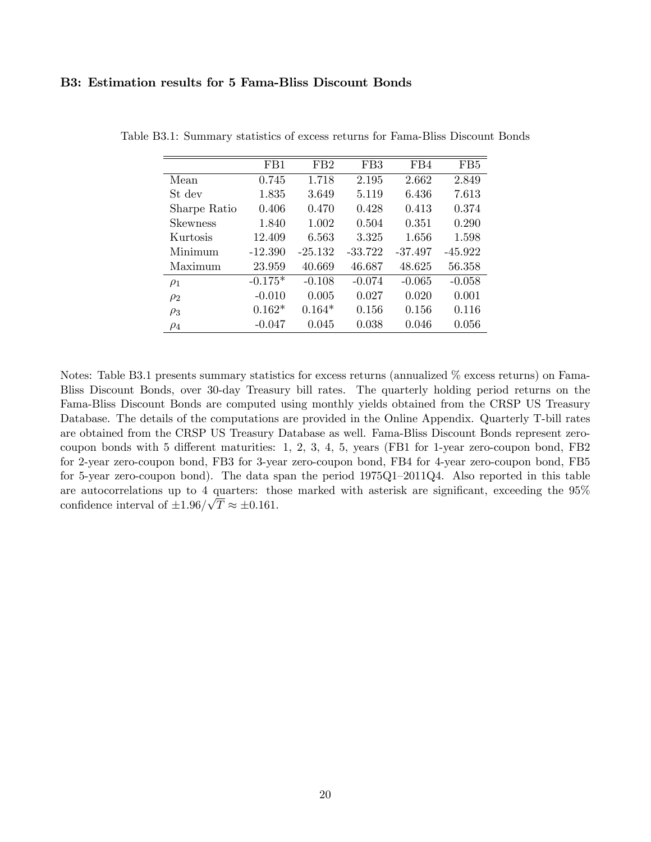### B3: Estimation results for 5 Fama-Bliss Discount Bonds

|                 | FB1       | FB <sub>2</sub> | FB <sub>3</sub> | FB4       | F <sub>B5</sub> |
|-----------------|-----------|-----------------|-----------------|-----------|-----------------|
| Mean            | 0.745     | 1.718           | 2.195           | 2.662     | 2.849           |
| St dev          | 1.835     | 3.649           | 5.119           | 6.436     | 7.613           |
| Sharpe Ratio    | 0.406     | 0.470           | 0.428           | 0.413     | 0.374           |
| <b>Skewness</b> | 1.840     | 1.002           | 0.504           | 0.351     | 0.290           |
| Kurtosis        | 12.409    | 6.563           | 3.325           | 1.656     | 1.598           |
| Minimum         | $-12.390$ | $-25.132$       | $-33.722$       | $-37.497$ | $-45.922$       |
| Maximum         | 23.959    | 40.669          | 46.687          | 48.625    | 56.358          |
| $\rho_1$        | $-0.175*$ | $-0.108$        | $-0.074$        | $-0.065$  | $-0.058$        |
| $\rho_2$        | $-0.010$  | 0.005           | 0.027           | 0.020     | 0.001           |
| $\rho_3$        | $0.162*$  | $0.164*$        | 0.156           | 0.156     | 0.116           |
| $\rho_4$        | $-0.047$  | 0.045           | 0.038           | 0.046     | 0.056           |

Table B3.1: Summary statistics of excess returns for Fama-Bliss Discount Bonds

Notes: Table B3.1 presents summary statistics for excess returns (annualized % excess returns) on Fama-Bliss Discount Bonds, over 30-day Treasury bill rates. The quarterly holding period returns on the Fama-Bliss Discount Bonds are computed using monthly yields obtained from the CRSP US Treasury Database. The details of the computations are provided in the Online Appendix. Quarterly T-bill rates are obtained from the CRSP US Treasury Database as well. Fama-Bliss Discount Bonds represent zerocoupon bonds with 5 different maturities:  $1, 2, 3, 4, 5$ , years (FB1 for 1-year zero-coupon bond, FB2 for 2-year zero-coupon bond, FB3 for 3-year zero-coupon bond, FB4 for 4-year zero-coupon bond, FB5 for 5-year zero-coupon bond). The data span the period  $1975Q1-2011Q4$ . Also reported in this table are autocorrelations up to 4 quarters: those marked with asterisk are significant, exceeding the  $95\%$ confidence interval of  $\pm 1.96/\sqrt{T} \approx \pm 0.161$ .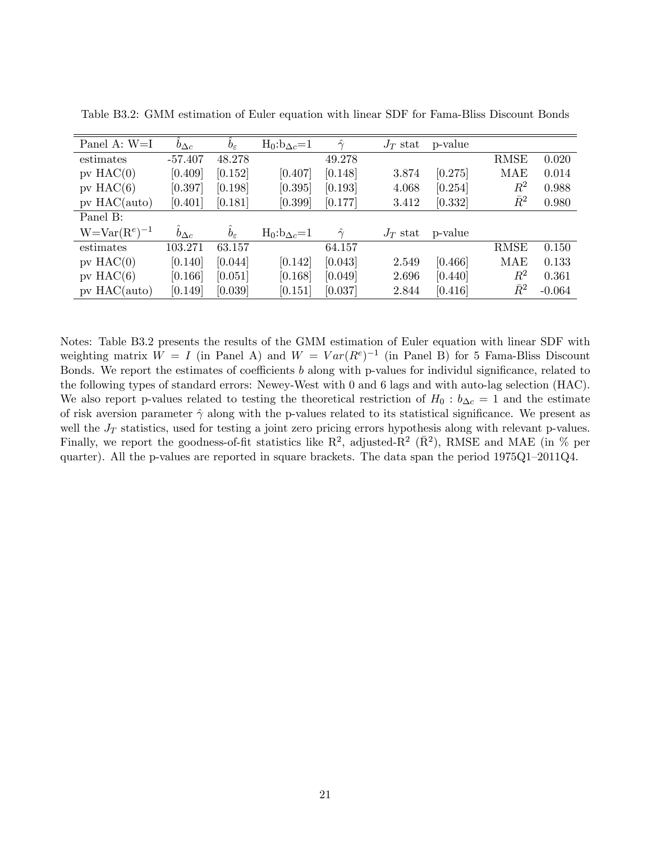| Panel A: W=I     | $b_{\Delta c}$ | $b_{\varepsilon}$ | $H_0:b_{\Delta c}=1$ | $\ddot{\gamma}$ | $J_T$ stat | p-value |             |          |
|------------------|----------------|-------------------|----------------------|-----------------|------------|---------|-------------|----------|
| estimates        | $-57.407$      | 48.278            |                      | 49.278          |            |         | <b>RMSE</b> | 0.020    |
| $pv$ HAC $(0)$   | [0.409]        | [0.152]           | [0.407]              | [0.148]         | 3.874      | [0.275] | MAE         | 0.014    |
| $pv$ HAC $(6)$   | [0.397]        | [0.198]           | [0.395]              | [0.193]         | 4.068      | [0.254] | $\,R^2$     | 0.988    |
| $pv$ HAC(auto)   | [0.401]        | [0.181]           | [0.399]              | [0.177]         | 3.412      | [0.332] | $\bar{R}^2$ | 0.980    |
| Panel B:         |                |                   |                      |                 |            |         |             |          |
| $W=Var(Re)^{-1}$ | $b_{\Delta c}$ | $b_{\varepsilon}$ | $H_0:b_{\Delta c}=1$ | $\hat{\gamma}$  | $J_T$ stat | p-value |             |          |
| estimates        | 103.271        | 63.157            |                      | 64.157          |            |         | <b>RMSE</b> | 0.150    |
| $pv$ HAC $(0)$   | [0.140]        | [0.044]           | [0.142]              | [0.043]         | 2.549      | [0.466] | MAE         | 0.133    |
| $pv$ HAC $(6)$   | [0.166]        | [0.051]           | [0.168]              | [0.049]         | 2.696      | [0.440] | $\,R^2$     | 0.361    |
| $pv$ HAC(auto)   | [0.149]        | [0.039]           | [0.151]              | [0.037]         | 2.844      | [0.416] | $\bar{R}^2$ | $-0.064$ |

Table B3.2: GMM estimation of Euler equation with linear SDF for Fama-Bliss Discount Bonds

Notes: Table B3.2 presents the results of the GMM estimation of Euler equation with linear SDF with weighting matrix  $W = I$  (in Panel A) and  $W = Var(R^e)^{-1}$  (in Panel B) for 5 Fama-Bliss Discount Bonds. We report the estimates of coefficients  $b$  along with p-values for individul significance, related to the following types of standard errors: Newey-West with 0 and 6 lags and with auto-lag selection (HAC). We also report p-values related to testing the theoretical restriction of  $H_0 : b_{\Delta c} = 1$  and the estimate of risk aversion parameter  $\hat{\gamma}$  along with the p-values related to its statistical significance. We present as well the  $J_T$  statistics, used for testing a joint zero pricing errors hypothesis along with relevant p-values. Finally, we report the goodness-of-fit statistics like  $\mathbb{R}^2$ , adjusted- $\mathbb{R}^2$  ( $\bar{\mathbb{R}}^2$ ), RMSE and MAE (in % per quarter). All the p-values are reported in square brackets. The data span the period  $1975Q1-2011Q4$ .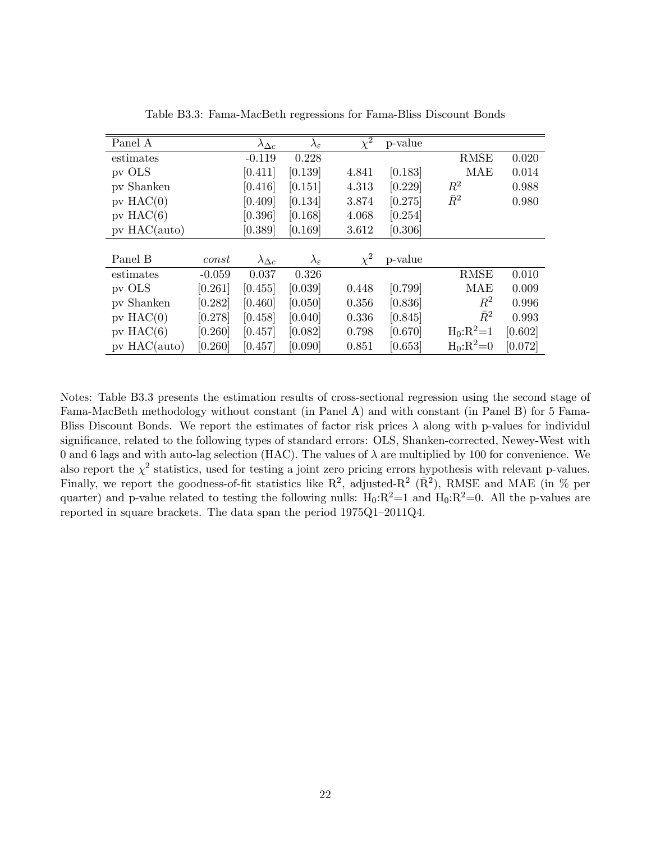| Panel A        |          | $\lambda_{\Delta c}$ | $\lambda_\varepsilon$ | $\overline{\chi^2}$ | p-value |             |         |
|----------------|----------|----------------------|-----------------------|---------------------|---------|-------------|---------|
| estimates      |          | $-0.119$             | 0.228                 |                     |         | <b>RMSE</b> | 0.020   |
| pv OLS         |          | [0.411]              | [0.139]               | 4.841               | [0.183] | <b>MAE</b>  | 0.014   |
| pv Shanken     |          | [0.416]              | [0.151]               | 4.313               | [0.229] | $R^2$       | 0.988   |
| $pv$ HAC $(0)$ |          | [0.409]              | [0.134]               | 3.874               | [0.275] | $\bar{R}^2$ | 0.980   |
| pv $HAC(6)$    |          | [0.396]              | [0.168]               | 4.068               | [0.254] |             |         |
| $pv$ HAC(auto) |          | [0.389]              | [0.169]               | 3.612               | [0.306] |             |         |
|                |          |                      |                       |                     |         |             |         |
| Panel B        | const    | $\lambda_{\Delta c}$ | $\lambda_\varepsilon$ | $\chi^2$            | p-value |             |         |
| estimates      | $-0.059$ | 0.037                | 0.326                 |                     |         | <b>RMSE</b> | 0.010   |
| pv OLS         | [0.261]  | [0.455]              | [0.039]               | 0.448               | [0.799] | MAE         | 0.009   |
| pv Shanken     | [0.282]  | [0.460]              | [0.050]               | 0.356               | [0.836] | $\,R^2$     | 0.996   |
| $pv$ HAC $(0)$ | [0.278]  | [0.458]              | [0.040]               | 0.336               | [0.845] | $\bar{R}^2$ | 0.993   |
| pv $HAC(6)$    | [0.260]  | [0.457]              | [0.082]               | 0.798               | [0.670] | $H_0:R^2=1$ | [0.602] |
| $pv$ HAC(auto) | [0.260]  | [0.457]              | [0.090]               | 0.851               | [0.653] | $H_0:R^2=0$ | [0.072] |

Table B3.3: Fama-MacBeth regressions for Fama-Bliss Discount Bonds

Notes: Table B3.3 presents the estimation results of cross-sectional regression using the second stage of Fama-MacBeth methodology without constant (in Panel A) and with constant (in Panel B) for 5 Fama-Bliss Discount Bonds. We report the estimates of factor risk prices  $\lambda$  along with p-values for individul significance, related to the following types of standard errors: OLS, Shanken-corrected, Newey-West with 0 and 6 lags and with auto-lag selection (HAC). The values of  $\lambda$  are multiplied by 100 for convenience. We also report the  $\chi^2$  statistics, used for testing a joint zero pricing errors hypothesis with relevant p-values. Finally, we report the goodness-of-fit statistics like  $\mathbb{R}^2$ , adjusted- $\mathbb{R}^2$  ( $\bar{\mathbb{R}}^2$ ), RMSE and MAE (in % per quarter) and p-value related to testing the following nulls:  $H_0:R^2=1$  and  $H_0:R^2=0$ . All the p-values are reported in square brackets. The data span the period  $1975Q1-2011Q4$ .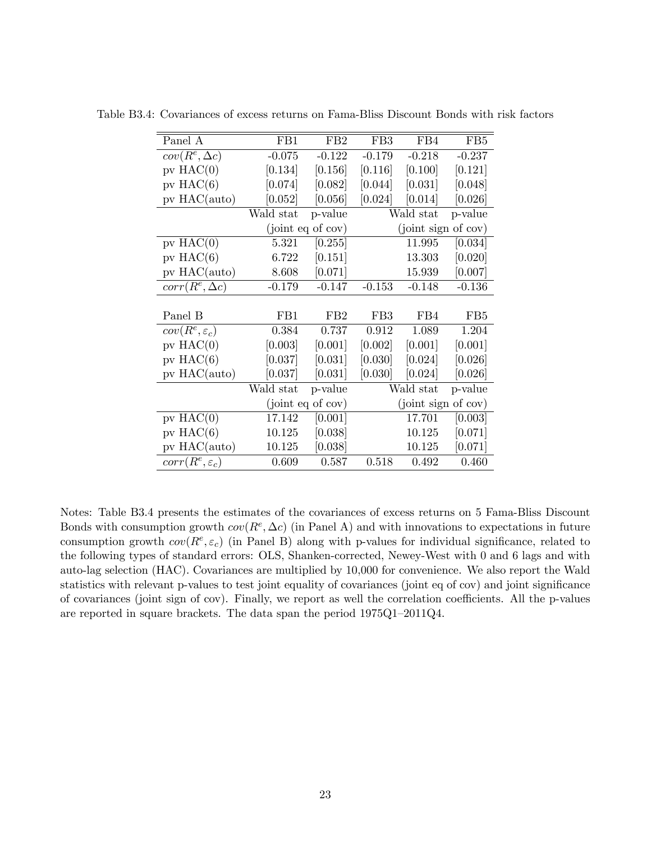| Panel A                    | FB1       | FB <sub>2</sub>   | FB <sub>3</sub> | FB4                 | FB <sub>5</sub> |
|----------------------------|-----------|-------------------|-----------------|---------------------|-----------------|
| $cov(R^e, \Delta c)$       | $-0.075$  | $-0.122$          | $-0.179$        | $-0.218$            | $-0.237$        |
| $pv$ HAC $(0)$             | [0.134]   | [0.156]           | [0.116]         | [0.100]             | [0.121]         |
| $pv$ HAC $(6)$             | [0.074]   | [0.082]           | [0.044]         | [0.031]             | [0.048]         |
| pv HAC(auto)               | [0.052]   | [0.056]           | [0.024]         | [0.014]             | [0.026]         |
|                            | Wald stat | p-value           |                 | Wald stat           | p-value         |
|                            |           | (joint eq of cov) |                 | (joint sign of cov) |                 |
| $pv$ HAC $(0)$             | 5.321     | [0.255]           |                 | 11.995              | [0.034]         |
| pv $HAC(6)$                | 6.722     | [0.151]           |                 | 13.303              | [0.020]         |
| $pv$ HAC(auto)             | 8.608     | [0.071]           |                 | 15.939              | [0.007]         |
| $corr(R^e, \Delta c)$      | $-0.179$  | $-0.147$          | $-0.153$        | $-0.148$            | $-0.136$        |
|                            |           |                   |                 |                     |                 |
| Panel B                    | FB1       | FB <sub>2</sub>   | FB <sub>3</sub> | FB4                 | FB <sub>5</sub> |
| $cov(R^e, \varepsilon_c)$  | 0.384     | 0.737             | 0.912           | 1.089               | 1.204           |
| pv $HAC(0)$                | [0.003]   | [0.001]           | [0.002]         | [0.001]             | [0.001]         |
| $pv$ HAC $(6)$             | [0.037]   | [0.031]           | [0.030]         | [0.024]             | [0.026]         |
| pv HAC(auto)               | [0.037]   | [0.031]           | [0.030]         | [0.024]             | [0.026]         |
|                            | Wald stat | p-value           |                 | Wald stat           | p-value         |
|                            |           | (joint eq of cov) |                 | (joint sign of cov) |                 |
| $pv$ HAC $(0)$             | 17.142    | [0.001]           |                 | 17.701              | [0.003]         |
| pv $HAC(6)$                | 10.125    | [0.038]           |                 | 10.125              | [0.071]         |
| $pv$ HAC( $auto$ )         | 10.125    | [0.038]           |                 | 10.125              | [0.071]         |
| $corr(R^e, \varepsilon_c)$ | 0.609     | 0.587             | 0.518           | 0.492               | 0.460           |

Table B3.4: Covariances of excess returns on Fama-Bliss Discount Bonds with risk factors

Notes: Table B3.4 presents the estimates of the covariances of excess returns on 5 Fama-Bliss Discount Bonds with consumption growth  $cov(R^e, \Delta c)$  (in Panel A) and with innovations to expectations in future consumption growth  $cov(R^e, \varepsilon_c)$  (in Panel B) along with p-values for individual significance, related to the following types of standard errors: OLS, Shanken-corrected, Newey-West with 0 and 6 lags and with auto-lag selection (HAC). Covariances are multiplied by 10,000 for convenience. We also report the Wald statistics with relevant p-values to test joint equality of covariances (joint eq of cov) and joint significance of covariances (joint sign of cov). Finally, we report as well the correlation coefficients. All the p-values are reported in square brackets. The data span the period  $1975Q1-2011Q4$ .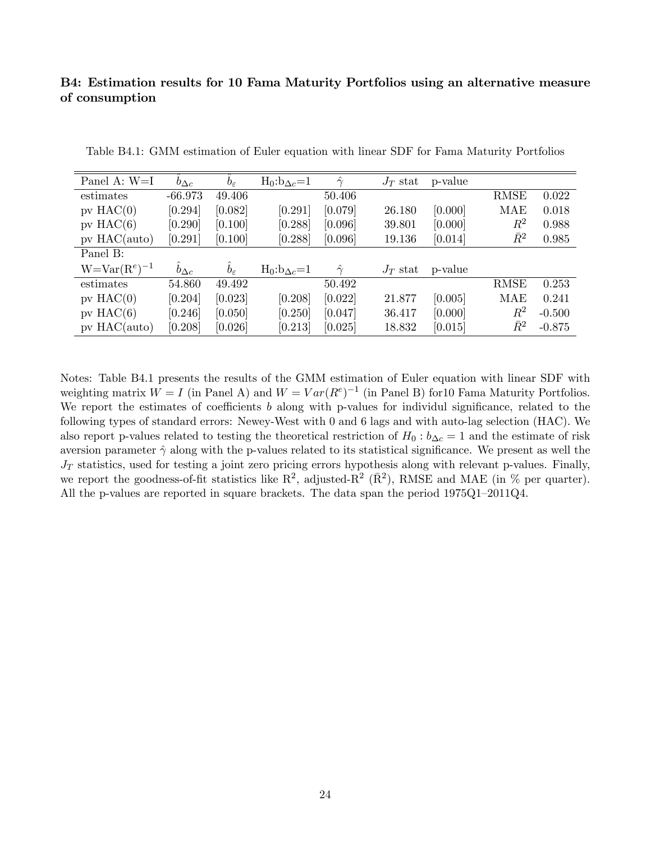# B4: Estimation results for 10 Fama Maturity Portfolios using an alternative measure of consumption

| Panel A: $W=I$      | $b_{\Delta c}$ | $b_{\varepsilon}$ | $H_0: b_{\Delta c}=1$ | $\ddot{\gamma}$ | $J_T$ stat | p-value |             |          |
|---------------------|----------------|-------------------|-----------------------|-----------------|------------|---------|-------------|----------|
| estimates           | $-66.973$      | 49.406            |                       | 50.406          |            |         | <b>RMSE</b> | 0.022    |
| $pv$ HAC $(0)$      | [0.294]        | [0.082]           | [0.291]               | [0.079]         | 26.180     | [0.000] | MAE         | 0.018    |
| $pv$ HAC $(6)$      | [0.290]        | [0.100]           | [0.288]               | [0.096]         | 39.801     | [0.000] | $\,R^2$     | 0.988    |
| $pv$ HAC(auto)      | [0.291]        | [0.100]           | [0.288]               | [0.096]         | 19.136     | [0.014] | $\bar{R}^2$ | 0.985    |
| Panel B:            |                |                   |                       |                 |            |         |             |          |
| $W = Var(R^e)^{-1}$ | $b_{\Delta c}$ | $b_{\varepsilon}$ | $H_0:b_{\Delta c}=1$  | $\hat{\gamma}$  | $J_T$ stat | p-value |             |          |
| estimates           | 54.860         | 49.492            |                       | 50.492          |            |         | <b>RMSE</b> | 0.253    |
| $pv$ HAC $(0)$      | [0.204]        | [0.023]           | [0.208]               | [0.022]         | 21.877     | [0.005] | <b>MAE</b>  | 0.241    |
| $pv$ HAC $(6)$      | [0.246]        | [0.050]           | [0.250]               | [0.047]         | 36.417     | [0.000] | $\,R^2$     | $-0.500$ |
| $pv$ HAC(auto)      | [0.208]        | [0.026]           | [0.213]               | [0.025]         | 18.832     | [0.015] | $\bar{R}^2$ | $-0.875$ |

Table B4.1: GMM estimation of Euler equation with linear SDF for Fama Maturity Portfolios

Notes: Table B4.1 presents the results of the GMM estimation of Euler equation with linear SDF with weighting matrix  $W = I$  (in Panel A) and  $W = Var(R^{e})^{-1}$  (in Panel B) for 10 Fama Maturity Portfolios. We report the estimates of coefficients b along with p-values for individul significance, related to the following types of standard errors: Newey-West with 0 and 6 lags and with auto-lag selection (HAC). We also report p-values related to testing the theoretical restriction of  $H_0: b_{\Delta c} = 1$  and the estimate of risk aversion parameter  $\hat{\gamma}$  along with the p-values related to its statistical significance. We present as well the  $J_T$  statistics, used for testing a joint zero pricing errors hypothesis along with relevant p-values. Finally, we report the goodness-of-fit statistics like  $\mathbb{R}^2$ , adjusted- $\mathbb{R}^2$  ( $\bar{\mathbb{R}}^2$ ), RMSE and MAE (in % per quarter). All the p-values are reported in square brackets. The data span the period  $1975Q1-2011Q4$ .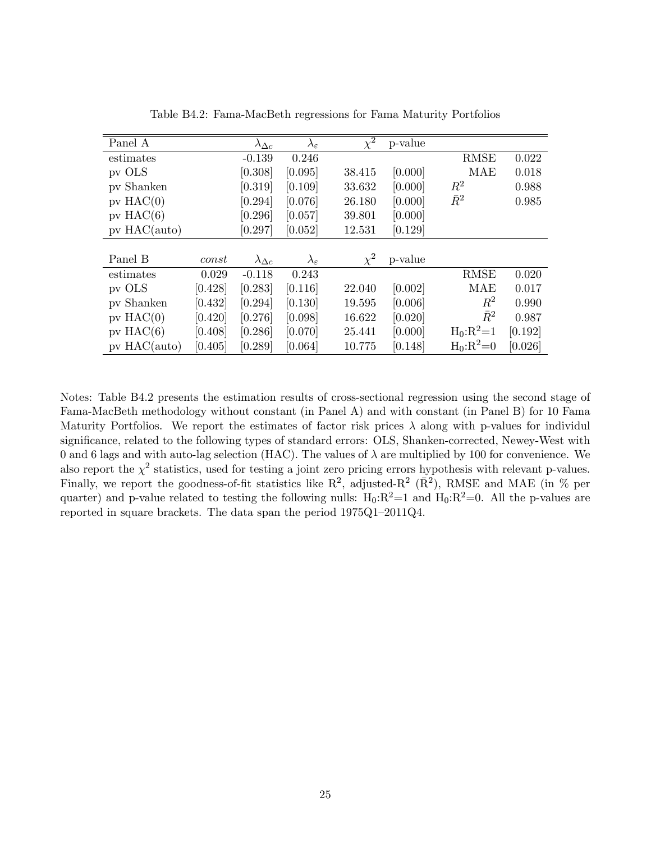| Panel A        |         | $\lambda_{\Delta c}$ | $\lambda_\varepsilon$   | $\overline{\chi^2}$ | p-value |                |         |
|----------------|---------|----------------------|-------------------------|---------------------|---------|----------------|---------|
| estimates      |         | $-0.139$             | 0.246                   |                     |         | <b>RMSE</b>    | 0.022   |
| pv OLS         |         | [0.308]              | [0.095]                 | 38.415              | [0.000] | <b>MAE</b>     | 0.018   |
| pv Shanken     |         | [0.319]              | [0.109]                 | 33.632              | [0.000] | $R^2$          | 0.988   |
| $pv$ HAC $(0)$ |         | [0.294]              | [0.076]                 | 26.180              | [0.000] | $\bar{R}^2$    | 0.985   |
| $pv$ HAC $(6)$ |         | [0.296]              | [0.057]                 | 39.801              | [0.000] |                |         |
| $pv$ HAC(auto) |         | [0.297]              | [0.052]                 | 12.531              | [0.129] |                |         |
|                |         |                      |                         |                     |         |                |         |
| Panel B        | const   | $\lambda_{\Delta c}$ | $\lambda_{\varepsilon}$ | $\chi^2$            | p-value |                |         |
| estimates      | 0.029   | $-0.118$             | 0.243                   |                     |         | <b>RMSE</b>    | 0.020   |
| pv OLS         | [0.428] | [0.283]              | [0.116]                 | 22.040              | [0.002] | MAE            | 0.017   |
| pv Shanken     | [0.432] | [0.294]              | [0.130]                 | 19.595              | [0.006] | $\,R^2$        | 0.990   |
| $pv$ HAC $(0)$ | [0.420] | [0.276]              | [0.098]                 | 16.622              | [0.020] | $\bar{R}^2$    | 0.987   |
| $pv$ HAC $(6)$ | [0.408] | [0.286]              | [0.070]                 | 25.441              | [0.000] | $H_0: R^2 = 1$ | [0.192] |
| $pv$ HAC(auto) | [0.405] | [0.289]              | [0.064]                 | 10.775              | [0.148] | $H_0:R^2=0$    | [0.026] |

Table B4.2: Fama-MacBeth regressions for Fama Maturity Portfolios

Notes: Table B4.2 presents the estimation results of cross-sectional regression using the second stage of Fama-MacBeth methodology without constant (in Panel A) and with constant (in Panel B) for 10 Fama Maturity Portfolios. We report the estimates of factor risk prices  $\lambda$  along with p-values for individul significance, related to the following types of standard errors: OLS, Shanken-corrected, Newey-West with 0 and 6 lags and with auto-lag selection (HAC). The values of  $\lambda$  are multiplied by 100 for convenience. We also report the  $\chi^2$  statistics, used for testing a joint zero pricing errors hypothesis with relevant p-values. Finally, we report the goodness-of-fit statistics like  $\mathbb{R}^2$ , adjusted- $\mathbb{R}^2$  ( $\bar{\mathbb{R}}^2$ ), RMSE and MAE (in % per quarter) and p-value related to testing the following nulls:  $H_0:R^2=1$  and  $H_0:R^2=0$ . All the p-values are reported in square brackets. The data span the period  $1975Q1-2011Q4$ .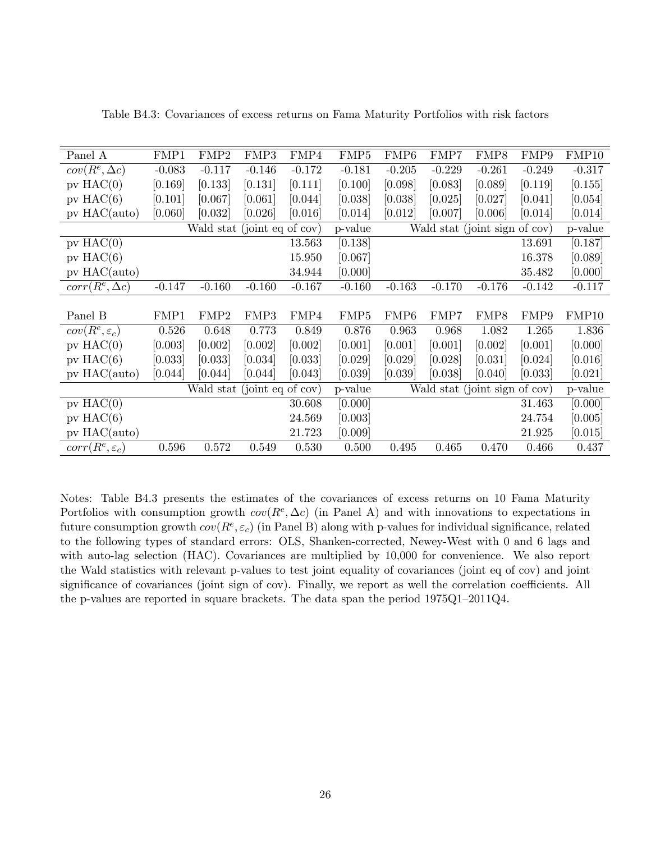| Panel A                    | FMP1     | FMP2                        | FMP3     | FMP4     | FMP <sub>5</sub> | FMP <sub>6</sub>              | FMP7     | FMP8                          | FMP9     | FMP10    |
|----------------------------|----------|-----------------------------|----------|----------|------------------|-------------------------------|----------|-------------------------------|----------|----------|
| $cov(R^e, \Delta c)$       | $-0.083$ | $-0.117$                    | $-0.146$ | $-0.172$ | $-0.181$         | $-0.205$                      | $-0.229$ | $-0.261$                      | $-0.249$ | $-0.317$ |
| $pv$ HAC $(0)$             | [0.169]  | [0.133]                     | [0.131]  | [0.111]  | [0.100]          | [0.098]                       | [0.083]  | [0.089]                       | [0.119]  | [0.155]  |
| $pv$ HAC $(6)$             | [0.101]  | [0.067]                     | [0.061]  | [0.044]  | [0.038]          | [0.038]                       | [0.025]  | [0.027]                       | [0.041]  | [0.054]  |
| pv HAC(auto)               | [0.060]  | [0.032]                     | [0.026]  | [0.016]  | [0.014]          | [0.012]                       | [0.007]  | [0.006]                       | [0.014]  | [0.014]  |
|                            |          | Wald stat (joint eq of cov) |          |          | p-value          | Wald stat (joint sign of cov) | p-value  |                               |          |          |
| $pv$ HAC $(0)$             |          |                             |          | 13.563   | [0.138]          |                               |          |                               | 13.691   | [0.187]  |
| $pv$ HAC $(6)$             |          |                             |          | 15.950   | [0.067]          |                               |          |                               | 16.378   | [0.089]  |
| pv HAC(auto)               |          |                             |          | 34.944   | [0.000]          |                               |          |                               | 35.482   | [0.000]  |
| $corr(R^e, \Delta c)$      | $-0.147$ | $-0.160$                    | $-0.160$ | $-0.167$ | $-0.160$         | $-0.163$                      | $-0.170$ | $-0.176$                      | $-0.142$ | $-0.117$ |
|                            |          |                             |          |          |                  |                               |          |                               |          |          |
| Panel B                    | FMP1     | FMP2                        | FMP3     | FMP4     | FMP <sub>5</sub> | FMP <sub>6</sub>              | FMP7     | FMP8                          | FMP9     | FMP10    |
| $cov(R^e, \varepsilon_c)$  | 0.526    | 0.648                       | 0.773    | 0.849    | 0.876            | 0.963                         | 0.968    | 1.082                         | 1.265    | 1.836    |
| $pv$ HAC $(0)$             | [0.003]  | [0.002]                     | [0.002]  | [0.002]  | [0.001]          | [0.001]                       | [0.001]  | [0.002]                       | [0.001]  | [0.000]  |
| pv $HAC(6)$                | [0.033]  | [0.033]                     | [0.034]  | [0.033]  | [0.029]          | [0.029]                       | [0.028]  | [0.031]                       | [0.024]  | [0.016]  |
| $pv$ HAC(auto)             | [0.044]  | [0.044]                     | [0.044]  | [0.043]  | [0.039]          | [0.039]                       | [0.038]  | [0.040]                       | [0.033]  | [0.021]  |
|                            |          | Wald stat (joint eq of cov) |          |          | p-value          |                               |          | Wald stat (joint sign of cov) |          | p-value  |
| $pv$ HAC $(0)$             |          |                             |          | 30.608   | [0.000]          |                               |          |                               | 31.463   | [0.000]  |
| $pv$ HAC $(6)$             |          |                             |          | 24.569   | [0.003]          |                               |          |                               | 24.754   | [0.005]  |
| $pv$ HAC(auto)             |          |                             |          | 21.723   | [0.009]          |                               |          |                               | 21.925   | [0.015]  |
| $corr(R^e, \varepsilon_c)$ | 0.596    | 0.572                       | 0.549    | 0.530    | 0.500            | 0.495                         | 0.465    | 0.470                         | 0.466    | 0.437    |

Table B4.3: Covariances of excess returns on Fama Maturity Portfolios with risk factors

Notes: Table B4.3 presents the estimates of the covariances of excess returns on 10 Fama Maturity Portfolios with consumption growth  $cov(R^e, \Delta c)$  (in Panel A) and with innovations to expectations in future consumption growth  $cov(R^e, \varepsilon_c)$  (in Panel B) along with p-values for individual significance, related to the following types of standard errors: OLS, Shanken-corrected, Newey-West with 0 and 6 lags and with auto-lag selection (HAC). Covariances are multiplied by 10,000 for convenience. We also report the Wald statistics with relevant p-values to test joint equality of covariances (joint eq of cov) and joint significance of covariances (joint sign of cov). Finally, we report as well the correlation coefficients. All the p-values are reported in square brackets. The data span the period  $1975Q1-2011Q4$ .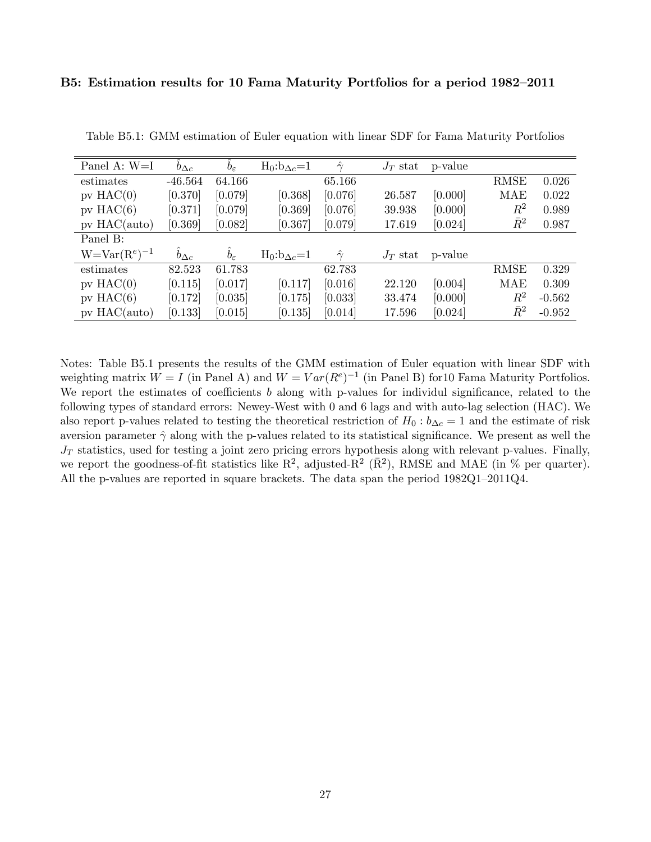### B5: Estimation results for 10 Fama Maturity Portfolios for a period 1982–2011

| Panel A: $W=I$      | $b_{\Delta c}$ | $b_{\varepsilon}$ | $H_0: b_{\Delta c}=1$ | $\ddot{\gamma}$ | $J_T$ stat | p-value |             |          |
|---------------------|----------------|-------------------|-----------------------|-----------------|------------|---------|-------------|----------|
| estimates           | $-46.564$      | 64.166            |                       | 65.166          |            |         | <b>RMSE</b> | 0.026    |
| $pv$ HAC $(0)$      | [0.370]        | [0.079]           | [0.368]               | [0.076]         | 26.587     | [0.000] | MAE         | 0.022    |
| $pv$ HAC $(6)$      | [0.371]        | [0.079]           | [0.369]               | [0.076]         | 39.938     | [0.000] | $R^2$       | 0.989    |
| $pv$ HAC(auto)      | [0.369]        | [0.082]           | [0.367]               | [0.079]         | 17.619     | [0.024] | $\bar{R}^2$ | 0.987    |
| Panel B:            |                |                   |                       |                 |            |         |             |          |
| $W = Var(R^e)^{-1}$ | $b_{\Delta c}$ | $b_{\varepsilon}$ | $H_0: b_{\Delta c}=1$ | $\hat{\gamma}$  | $J_T$ stat | p-value |             |          |
| estimates           | 82.523         | 61.783            |                       | 62.783          |            |         | <b>RMSE</b> | 0.329    |
| $pv$ HAC $(0)$      | [0.115]        | [0.017]           | [0.117]               | [0.016]         | 22.120     | [0.004] | MAE         | 0.309    |
| $pv$ HAC $(6)$      | [0.172]        | [0.035]           | [0.175]               | [0.033]         | 33.474     | [0.000] | $R^2$       | $-0.562$ |
| $pv$ HAC(auto)      | [0.133]        | [0.015]           | [0.135]               | [0.014]         | 17.596     | [0.024] | $\bar{R}^2$ | $-0.952$ |

Table B5.1: GMM estimation of Euler equation with linear SDF for Fama Maturity Portfolios

Notes: Table B5.1 presents the results of the GMM estimation of Euler equation with linear SDF with weighting matrix  $W = I$  (in Panel A) and  $W = Var(R^e)^{-1}$  (in Panel B) for 10 Fama Maturity Portfolios. We report the estimates of coefficients  $b$  along with p-values for individul significance, related to the following types of standard errors: Newey-West with 0 and 6 lags and with auto-lag selection (HAC). We also report p-values related to testing the theoretical restriction of  $H_0$ :  $b_{\Delta c} = 1$  and the estimate of risk aversion parameter  $\hat{\gamma}$  along with the p-values related to its statistical significance. We present as well the  $J_T$  statistics, used for testing a joint zero pricing errors hypothesis along with relevant p-values. Finally, we report the goodness-of-fit statistics like  $\mathbb{R}^2$ , adjusted- $\mathbb{R}^2$  ( $\bar{\mathbb{R}}^2$ ), RMSE and MAE (in % per quarter). All the p-values are reported in square brackets. The data span the period  $1982Q1-2011Q4$ .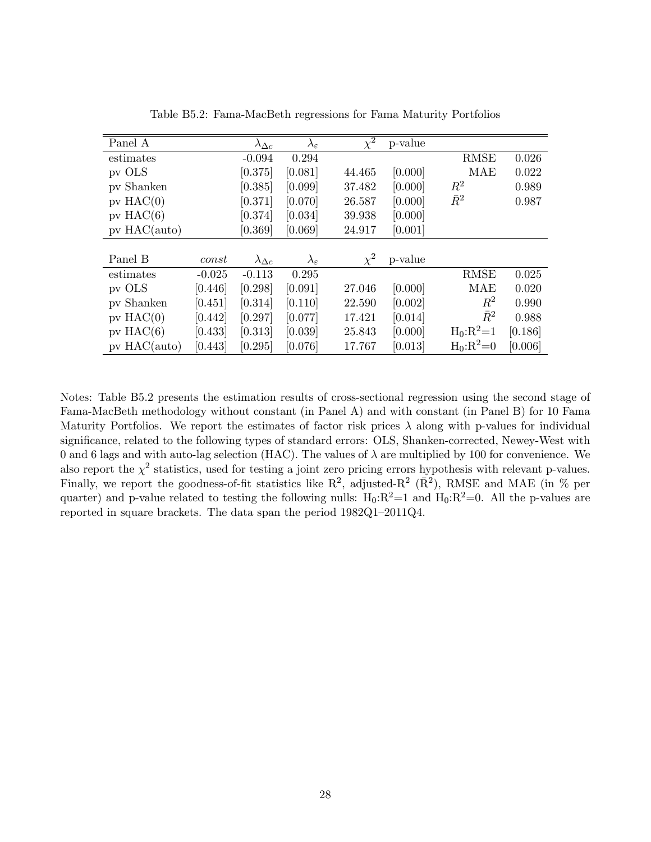| Panel A        |          | $\lambda_{\Delta c}$ | $\lambda_\varepsilon$ | $\overline{\chi^2}$ | p-value |              |         |
|----------------|----------|----------------------|-----------------------|---------------------|---------|--------------|---------|
| estimates      |          | $-0.094$             | 0.294                 |                     |         | <b>RMSE</b>  | 0.026   |
| pv OLS         |          | [0.375]              | [0.081]               | 44.465              | [0.000] | MAE          | 0.022   |
| pv Shanken     |          | [0.385]              | [0.099]               | 37.482              | [0.000] | $R^2$        | 0.989   |
| $pv$ HAC $(0)$ |          | [0.371]              | [0.070]               | 26.587              | [0.000] | $\bar{R}^2$  | 0.987   |
| $pv$ HAC $(6)$ |          | [0.374]              | [0.034]               | 39.938              | [0.000] |              |         |
| $pv$ HAC(auto) |          | [0.369]              | [0.069]               | 24.917              | [0.001] |              |         |
|                |          |                      |                       |                     |         |              |         |
| Panel B        | const    | $\lambda_{\Delta c}$ | $\lambda_\varepsilon$ | $\chi^2$            | p-value |              |         |
| estimates      | $-0.025$ | $-0.113$             | 0.295                 |                     |         | <b>RMSE</b>  | 0.025   |
| pv OLS         | [0.446]  | [0.298]              | [0.091]               | 27.046              | [0.000] | MAE          | 0.020   |
| pv Shanken     | [0.451]  | [0.314]              | [0.110]               | 22.590              | [0.002] | $\,R^2$      | 0.990   |
| $pv$ HAC $(0)$ | [0.442]  | [0.297]              | [0.077]               | 17.421              | [0.014] | $\bar{R}^2$  | 0.988   |
| $pv$ HAC $(6)$ | [0.433]  | [0.313]              | [0.039]               | 25.843              | [0.000] | $H_0: R^2=1$ | [0.186] |
| $pv$ HAC(auto) | [0.443]  | [0.295]              | [0.076]               | 17.767              | [0.013] | $H_0:R^2=0$  | [0.006] |

Table B5.2: Fama-MacBeth regressions for Fama Maturity Portfolios

Notes: Table B5.2 presents the estimation results of cross-sectional regression using the second stage of Fama-MacBeth methodology without constant (in Panel A) and with constant (in Panel B) for 10 Fama Maturity Portfolios. We report the estimates of factor risk prices  $\lambda$  along with p-values for individual significance, related to the following types of standard errors: OLS, Shanken-corrected, Newey-West with 0 and 6 lags and with auto-lag selection (HAC). The values of  $\lambda$  are multiplied by 100 for convenience. We also report the  $\chi^2$  statistics, used for testing a joint zero pricing errors hypothesis with relevant p-values. Finally, we report the goodness-of-fit statistics like  $\mathbb{R}^2$ , adjusted- $\mathbb{R}^2$  ( $\bar{\mathbb{R}}^2$ ), RMSE and MAE (in % per quarter) and p-value related to testing the following nulls:  $H_0:R^2=1$  and  $H_0:R^2=0$ . All the p-values are reported in square brackets. The data span the period  $1982Q1-2011Q4$ .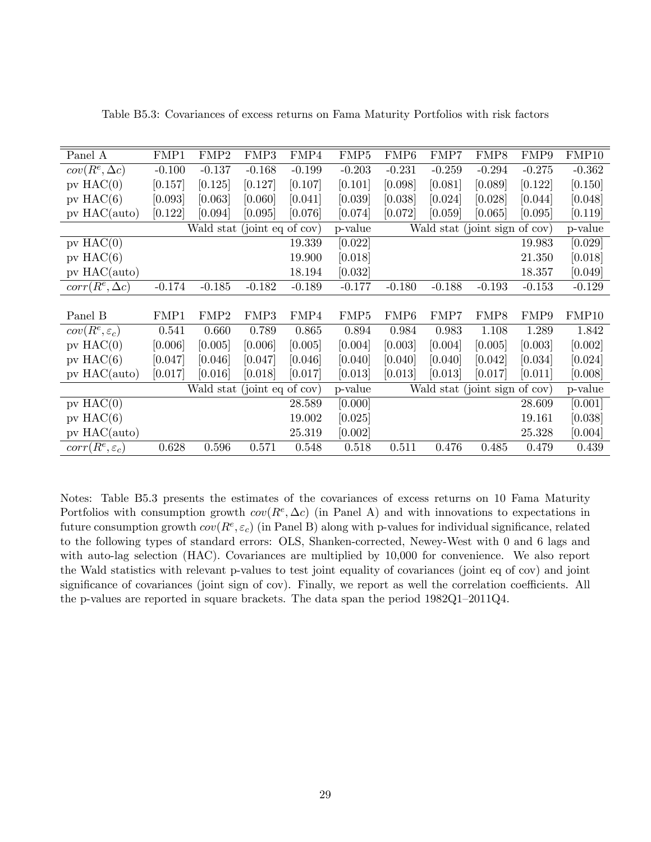| Panel A                          | FMP1     | FMP2                        | FMP3     | FMP4     | FMP <sub>5</sub> | FMP <sub>6</sub>              | FMP7                          | FMP8     | FMP9     | FMP10    |
|----------------------------------|----------|-----------------------------|----------|----------|------------------|-------------------------------|-------------------------------|----------|----------|----------|
| $cov(R^e, \Delta c)$             | $-0.100$ | $-0.137$                    | $-0.168$ | $-0.199$ | $-0.203$         | $-0.231$                      | $-0.259$                      | $-0.294$ | $-0.275$ | $-0.362$ |
| $pv$ HAC $(0)$                   | [0.157]  | [0.125]                     | [0.127]  | [0.107]  | [0.101]          | [0.098]                       | [0.081]                       | [0.089]  | [0.122]  | [0.150]  |
| $pv$ HAC $(6)$                   | [0.093]  | [0.063]                     | [0.060]  | [0.041]  | [0.039]          | [0.038]                       | [0.024]                       | [0.028]  | [0.044]  | [0.048]  |
| pv HAC(auto)                     | [0.122]  | [0.094]                     | [0.095]  | [0.076]  | [0.074]          | [0.072]                       | [0.059]                       | [0.065]  | [0.095]  | [0.119]  |
|                                  |          | Wald stat (joint eq of cov) |          |          | p-value          | Wald stat (joint sign of cov) | p-value                       |          |          |          |
| $pv$ HAC $(0)$                   |          |                             |          | 19.339   | [0.022]          |                               |                               |          | 19.983   | [0.029]  |
| $pv$ HAC $(6)$                   |          |                             |          | 19.900   | [0.018]          |                               |                               |          | 21.350   | [0.018]  |
| pv HAC(auto)                     |          |                             |          | 18.194   | [0.032]          |                               |                               |          | 18.357   | [0.049]  |
| $\overline{corr}(R^e, \Delta c)$ | $-0.174$ | $-0.185$                    | $-0.182$ | $-0.189$ | $-0.177$         | $-0.180$                      | $-0.188$                      | $-0.193$ | $-0.153$ | $-0.129$ |
|                                  |          |                             |          |          |                  |                               |                               |          |          |          |
| Panel B                          | FMP1     | FMP2                        | FMP3     | FMP4     | FMP <sub>5</sub> | FMP <sub>6</sub>              | FMP7                          | FMP8     | FMP9     | FMP10    |
| $cov(R^e, \varepsilon_c)$        | 0.541    | 0.660                       | 0.789    | 0.865    | 0.894            | 0.984                         | 0.983                         | 1.108    | 1.289    | 1.842    |
| $pv$ HAC $(0)$                   | [0.006]  | [0.005]                     | [0.006]  | [0.005]  | [0.004]          | [0.003]                       | [0.004]                       | [0.005]  | [0.003]  | [0.002]  |
| $pv$ HAC $(6)$                   | [0.047]  | [0.046]                     | [0.047]  | [0.046]  | [0.040]          | [0.040]                       | [0.040]                       | [0.042]  | [0.034]  | [0.024]  |
| $pv$ HAC(auto)                   | [0.017]  | [0.016]                     | [0.018]  | [0.017]  | [0.013]          | [0.013]                       | [0.013]                       | [0.017]  | [0.011]  | [0.008]  |
|                                  |          | Wald stat (joint eq of cov) |          |          | p-value          |                               | Wald stat (joint sign of cov) |          |          | p-value  |
| $pv$ HAC $(0)$                   |          |                             |          | 28.589   | [0.000]          |                               |                               |          | 28.609   | [0.001]  |
| $pv$ HAC $(6)$                   |          |                             |          | 19.002   | [0.025]          |                               |                               |          | 19.161   | [0.038]  |
| $pv$ HAC(auto)                   |          |                             |          | 25.319   | [0.002]          |                               |                               |          | 25.328   | [0.004]  |
| $corr(R^e, \varepsilon_c)$       | 0.628    | 0.596                       | 0.571    | 0.548    | 0.518            | 0.511                         | 0.476                         | 0.485    | 0.479    | 0.439    |

Table B5.3: Covariances of excess returns on Fama Maturity Portfolios with risk factors

Notes: Table B5.3 presents the estimates of the covariances of excess returns on 10 Fama Maturity Portfolios with consumption growth  $cov(R^e, \Delta c)$  (in Panel A) and with innovations to expectations in future consumption growth  $cov(R^e, \varepsilon_c)$  (in Panel B) along with p-values for individual significance, related to the following types of standard errors: OLS, Shanken-corrected, Newey-West with 0 and 6 lags and with auto-lag selection (HAC). Covariances are multiplied by 10,000 for convenience. We also report the Wald statistics with relevant p-values to test joint equality of covariances (joint eq of cov) and joint significance of covariances (joint sign of cov). Finally, we report as well the correlation coefficients. All the p-values are reported in square brackets. The data span the period  $1982Q1-2011Q4$ .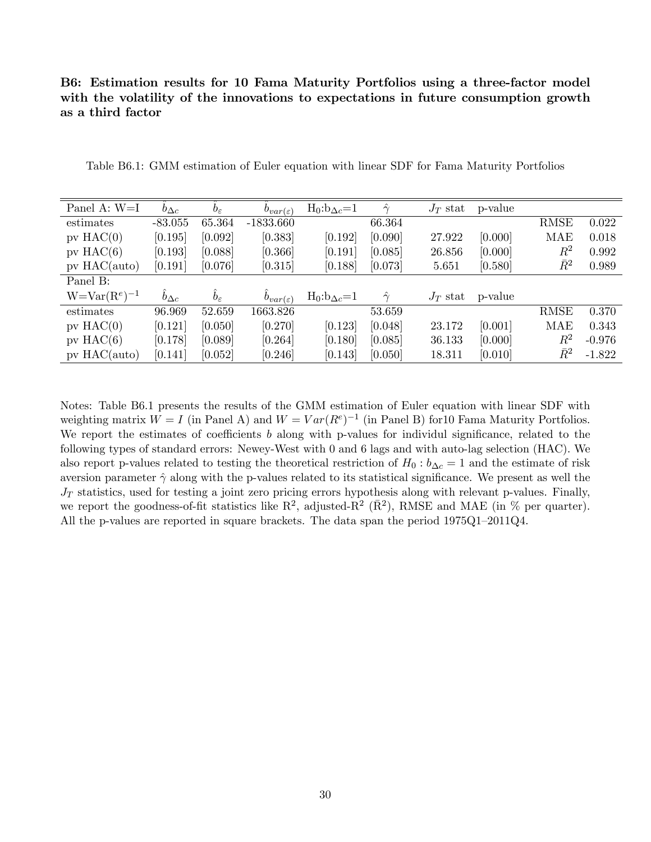# B6: Estimation results for 10 Fama Maturity Portfolios using a three-factor model with the volatility of the innovations to expectations in future consumption growth as a third factor

| Panel A: W=I      | $b_{\Delta c}$ | $b_{\varepsilon}$ | $b_{var(\varepsilon)}$ | $H_0:b_{\Delta c}=1$  | $\gamma$       | $J_T$ stat | p-value |             |          |
|-------------------|----------------|-------------------|------------------------|-----------------------|----------------|------------|---------|-------------|----------|
| estimates         | $-83.055$      | 65.364            | $-1833.660$            |                       | 66.364         |            |         | <b>RMSE</b> | 0.022    |
| $pv$ HAC $(0)$    | [0.195]        | [0.092]           | [0.383]                | [0.192]               | [0.090]        | 27.922     | [0.000] | MAE         | 0.018    |
| pv $HAC(6)$       | [0.193]        | [0.088]           | [0.366]                | [0.191]               | [0.085]        | 26.856     | [0.000] | $R^2$       | 0.992    |
| $pv$ HAC(auto)    | [0.191]        | [0.076]           | [0.315]                | [0.188]               | [0.073]        | 5.651      | [0.580] | $\bar{R}^2$ | 0.989    |
| Panel B:          |                |                   |                        |                       |                |            |         |             |          |
| $W=Var(R^e)^{-1}$ | $b_{\Delta c}$ | $b_{\varepsilon}$ | $b_{var(\varepsilon)}$ | $H_0: b_{\Delta c}=1$ | $\hat{\gamma}$ | $J_T$ stat | p-value |             |          |
| estimates         | 96.969         | 52.659            | 1663.826               |                       | 53.659         |            |         | <b>RMSE</b> | 0.370    |
| $pv$ HAC $(0)$    | [0.121]        | [0.050]           | [0.270]                | [0.123]               | [0.048]        | 23.172     | [0.001] | MAE         | 0.343    |
| $pv$ HAC $(6)$    | [0.178]        | [0.089]           | [0.264]                | [0.180]               | [0.085]        | 36.133     | [0.000] | $R^2$       | $-0.976$ |
| $pv$ HAC(auto)    | [0.141]        | [0.052]           | [0.246]                | [0.143]               | [0.050]        | 18.311     | [0.010] | $\bar{R}^2$ | $-1.822$ |

Table B6.1: GMM estimation of Euler equation with linear SDF for Fama Maturity Portfolios

Notes: Table B6.1 presents the results of the GMM estimation of Euler equation with linear SDF with weighting matrix  $W = I$  (in Panel A) and  $W = Var(R^{e})^{-1}$  (in Panel B) for 10 Fama Maturity Portfolios. We report the estimates of coefficients b along with p-values for individul significance, related to the following types of standard errors: Newey-West with 0 and 6 lags and with auto-lag selection (HAC). We also report p-values related to testing the theoretical restriction of  $H_0$ :  $b_{\Delta c} = 1$  and the estimate of risk aversion parameter  $\hat{\gamma}$  along with the p-values related to its statistical significance. We present as well the  $J_T$  statistics, used for testing a joint zero pricing errors hypothesis along with relevant p-values. Finally, we report the goodness-of-fit statistics like  $\mathbb{R}^2$ , adjusted- $\mathbb{R}^2$  ( $\bar{\mathbb{R}}^2$ ), RMSE and MAE (in % per quarter). All the p-values are reported in square brackets. The data span the period  $1975Q1-2011Q4$ .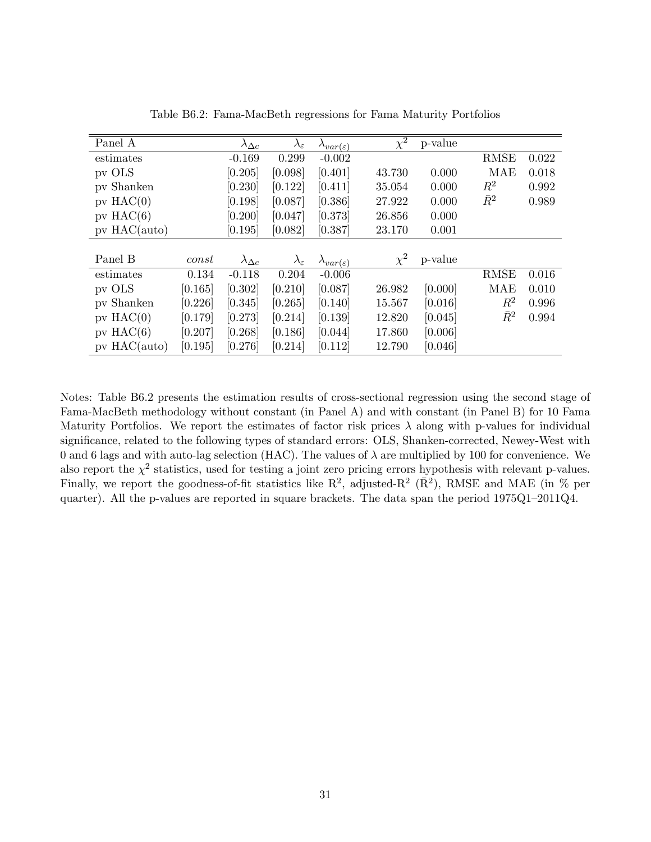| Panel A        |         | $\lambda_{\Delta c}$ | $\lambda_\varepsilon$ | $\lambda_{var(\varepsilon)}$ | $\overline{\chi^2}$ | p-value |             |       |
|----------------|---------|----------------------|-----------------------|------------------------------|---------------------|---------|-------------|-------|
| estimates      |         | $-0.169$             | 0.299                 | $-0.002$                     |                     |         | <b>RMSE</b> | 0.022 |
| pv OLS         |         | [0.205]              | [0.098]               | [0.401]                      | 43.730              | 0.000   | <b>MAE</b>  | 0.018 |
| pv Shanken     |         | [0.230]              | [0.122]               | [0.411]                      | 35.054              | 0.000   | $\,R^2$     | 0.992 |
| $pv$ HAC $(0)$ |         | [0.198]              | [0.087]               | [0.386]                      | 27.922              | 0.000   | $\bar{R}^2$ | 0.989 |
| $pv$ HAC $(6)$ |         | [0.200]              | [0.047]               | [0.373]                      | 26.856              | 0.000   |             |       |
| $pv$ HAC(auto) |         | [0.195]              | [0.082]               | [0.387]                      | 23.170              | 0.001   |             |       |
|                |         |                      |                       |                              |                     |         |             |       |
| Panel B        | const   | $\lambda_{\Delta c}$ | $\lambda_\varepsilon$ | $\lambda_{var(\varepsilon)}$ | $\chi^2$            | p-value |             |       |
| estimates      | 0.134   | $-0.118$             | 0.204                 | $-0.006$                     |                     |         | <b>RMSE</b> | 0.016 |
| pv OLS         | [0.165] | [0.302]              | [0.210]               | [0.087]                      | 26.982              | [0.000] | <b>MAE</b>  | 0.010 |
| pv Shanken     | [0.226] | [0.345]              | [0.265]               | [0.140]                      | 15.567              | [0.016] | $\,R^2$     | 0.996 |
| $pv$ HAC $(0)$ | [0.179] | [0.273]              | [0.214]               | [0.139]                      | 12.820              | [0.045] | $\bar{R}^2$ | 0.994 |
| $pv$ HAC $(6)$ | [0.207] | [0.268]              | [0.186]               | [0.044]                      | 17.860              | [0.006] |             |       |
| $pv$ HAC(auto) | [0.195] | [0.276]              | [0.214]               | [0.112]                      | 12.790              | [0.046] |             |       |

Table B6.2: Fama-MacBeth regressions for Fama Maturity Portfolios

Notes: Table B6.2 presents the estimation results of cross-sectional regression using the second stage of Fama-MacBeth methodology without constant (in Panel A) and with constant (in Panel B) for 10 Fama Maturity Portfolios. We report the estimates of factor risk prices  $\lambda$  along with p-values for individual significance, related to the following types of standard errors: OLS, Shanken-corrected, Newey-West with 0 and 6 lags and with auto-lag selection (HAC). The values of  $\lambda$  are multiplied by 100 for convenience. We also report the  $\chi^2$  statistics, used for testing a joint zero pricing errors hypothesis with relevant p-values. Finally, we report the goodness-of-fit statistics like  $\mathbb{R}^2$ , adjusted- $\mathbb{R}^2$  ( $\bar{\mathbb{R}}^2$ ), RMSE and MAE (in % per quarter). All the p-values are reported in square brackets. The data span the period  $1975Q1-2011Q4$ .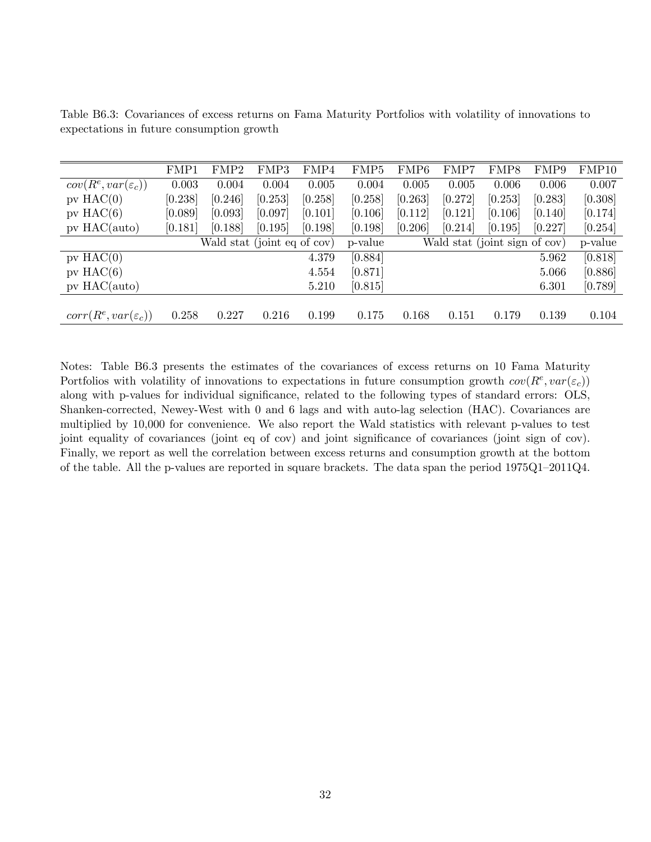|                                 | FMP1                        | ${\rm FMP2}$ | FMP3    | FMP4    | FMP5    | FMP6                          | FMP7    | FMP8    | FMP9    | FMP10   |
|---------------------------------|-----------------------------|--------------|---------|---------|---------|-------------------------------|---------|---------|---------|---------|
| $cov(R^e, var(\varepsilon_c))$  | 0.003                       | 0.004        | 0.004   | 0.005   | 0.004   | 0.005                         | 0.005   | 0.006   | 0.006   | 0.007   |
| $pv$ HAC $(0)$                  | [0.238]                     | [0.246]      | [0.253] | [0.258] | [0.258] | [0.263]                       | [0.272] | [0.253] | [0.283] | [0.308] |
| $pv$ HAC $(6)$                  | [0.089]                     | [0.093]      | [0.097] | [0.101] | [0.106] | [0.112]                       | [0.121] | [0.106] | [0.140] | [0.174] |
| $pv$ HAC(auto)                  | [0.181]                     | [0.188]      | [0.195] | [0.198] | [0.198] | [0.206]                       | [0.214] | [0.195] | [0.227] | [0.254] |
|                                 | Wald stat (joint eq of cov) |              |         |         | p-value | Wald stat (joint sign of cov) |         |         |         | p-value |
| $pV$ HAC $(0)$                  |                             |              |         | 4.379   | [0.884] |                               |         |         | 5.962   | [0.818] |
| $pv$ HAC $(6)$                  |                             |              |         | 4.554   | [0.871] |                               |         |         | 5.066   | [0.886] |
| $pv$ HAC(auto)                  |                             |              |         | 5.210   | [0.815] |                               |         |         | 6.301   | [0.789] |
|                                 |                             |              |         |         |         |                               |         |         |         |         |
| $corr(R^e, var(\varepsilon_c))$ | 0.258                       | 0.227        | 0.216   | 0.199   | 0.175   | 0.168                         | 0.151   | 0.179   | 0.139   | 0.104   |

Table B6.3: Covariances of excess returns on Fama Maturity Portfolios with volatility of innovations to expectations in future consumption growth

Notes: Table B6.3 presents the estimates of the covariances of excess returns on 10 Fama Maturity Portfolios with volatility of innovations to expectations in future consumption growth  $cov(R^e, var(\varepsilon_c))$ along with p-values for individual significance, related to the following types of standard errors: OLS, Shanken-corrected, Newey-West with 0 and 6 lags and with auto-lag selection (HAC). Covariances are multiplied by 10,000 for convenience. We also report the Wald statistics with relevant p-values to test joint equality of covariances (joint eq of cov) and joint significance of covariances (joint sign of cov). Finally, we report as well the correlation between excess returns and consumption growth at the bottom of the table. All the p-values are reported in square brackets. The data span the period  $1975Q1-2011Q4$ .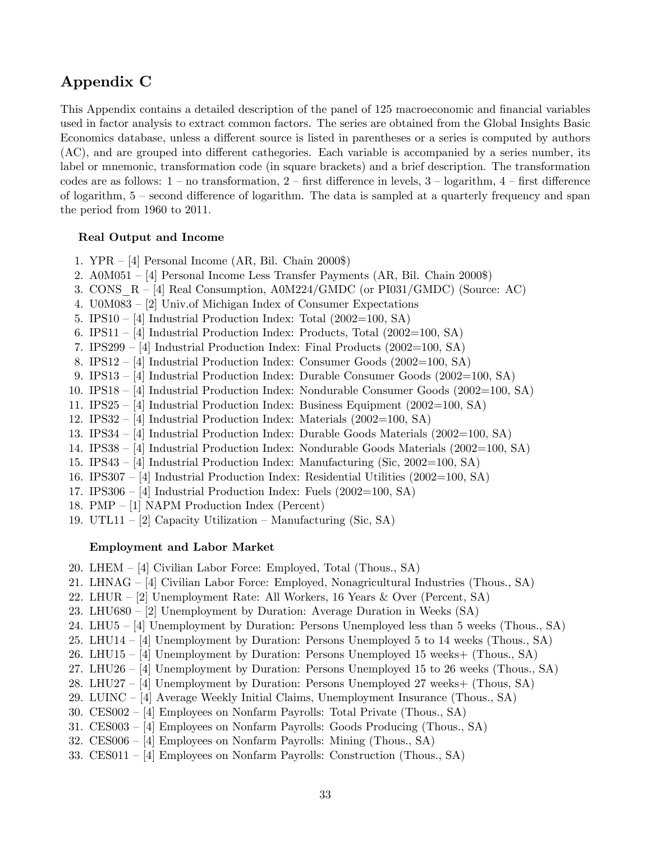# Appendix C

This Appendix contains a detailed description of the panel of 125 macroeconomic and financial variables used in factor analysis to extract common factors. The series are obtained from the Global Insights Basic Economics database, unless a different source is listed in parentheses or a series is computed by authors  $(AC)$ , and are grouped into different cathegories. Each variable is accompanied by a series number, its label or mnemonic, transformation code (in square brackets) and a brief description. The transformation codes are as follows:  $1$  – no transformation,  $2$  – first difference in levels,  $3$  – logarithm,  $4$  – first difference of logarithm,  $5$  – second difference of logarithm. The data is sampled at a quarterly frequency and span the period from 1960 to 2011.

### Real Output and Income

- 1.  $YPR [4]$  Personal Income (AR, Bil. Chain 2000\$)
- 2.  $A0M051 [4]$  Personal Income Less Transfer Payments (AR, Bil. Chain 2000\$)
- 3. CONS  $R [4]$  Real Consumption, A0M224/GMDC (or PI031/GMDC) (Source: AC)
- 4. U0M083 [2] Univ.of Michigan Index of Consumer Expectations
- 5. IPS10  $-$  [4] Industrial Production Index: Total (2002=100, SA)
- 6. IPS11 [4] Industrial Production Index: Products, Total  $(2002=100, S\text{A})$
- 7. IPS299 [4] Industrial Production Index: Final Products  $(2002=100, S\text{A})$
- 8. IPS12  $-$  [4] Industrial Production Index: Consumer Goods (2002=100, SA)
- 9. IPS13  $-$  [4] Industrial Production Index: Durable Consumer Goods (2002=100, SA)
- 10. IPS18 [4] Industrial Production Index: Nondurable Consumer Goods (2002=100, SA)
- 11. IPS25 [4] Industrial Production Index: Business Equipment  $(2002=100, S\text{A})$
- 12. IPS32  $-$  [4] Industrial Production Index: Materials (2002=100, SA)
- 13. IPS34  $-$  [4] Industrial Production Index: Durable Goods Materials (2002=100, SA)
- 14. IPS38 [4] Industrial Production Index: Nondurable Goods Materials (2002=100, SA)
- 15. IPS43 [4] Industrial Production Index: Manufacturing (Sic, 2002=100, SA)
- 16. IPS307 [4] Industrial Production Index: Residential Utilities (2002=100, SA)
- 17. IPS306  $-$  [4] Industrial Production Index: Fuels (2002=100, SA)
- 18. PMP [1] NAPM Production Index (Percent)
- 19. UTL11 [2] Capacity Utilization Manufacturing (Sic, SA)

### Employment and Labor Market

- 20. LHEM  $-$  [4] Civilian Labor Force: Employed, Total (Thous., SA)
- 21. LHNAG  $-$  [4] Civilian Labor Force: Employed, Nonagricultural Industries (Thous., SA)
- 22. LHUR  $-$  [2] Unemployment Rate: All Workers, 16 Years & Over (Percent, SA)
- 23. LHU680 [2] Unemployment by Duration: Average Duration in Weeks  $(SA)$
- 24. LHU5  $-$  [4] Unemployment by Duration: Persons Unemployed less than 5 weeks (Thous., SA)
- 25. LHU14  $\sim$  [4] Unemployment by Duration: Persons Unemployed 5 to 14 weeks (Thous., SA)
- 26. LHU15  $-$  [4] Unemployment by Duration: Persons Unemployed 15 weeks+ (Thous., SA)
- 27. LHU26  $\sim$  [4] Unemployment by Duration: Persons Unemployed 15 to 26 weeks (Thous., SA)
- 28. LHU27  $-$  [4] Unemployment by Duration: Persons Unemployed 27 weeks+ (Thous, SA)
- 29. LUINC  $-$  [4] Average Weekly Initial Claims, Unemployment Insurance (Thous., SA)
- 30. CES002  $-$  [4] Employees on Nonfarm Payrolls: Total Private (Thous., SA)
- 31. CES003  $-$  [4] Employees on Nonfarm Payrolls: Goods Producing (Thous., SA)
- 32. CES006  $-$  [4] Employees on Nonfarm Payrolls: Mining (Thous., SA)
- 33. CES011 [4] Employees on Nonfarm Payrolls: Construction (Thous., SA)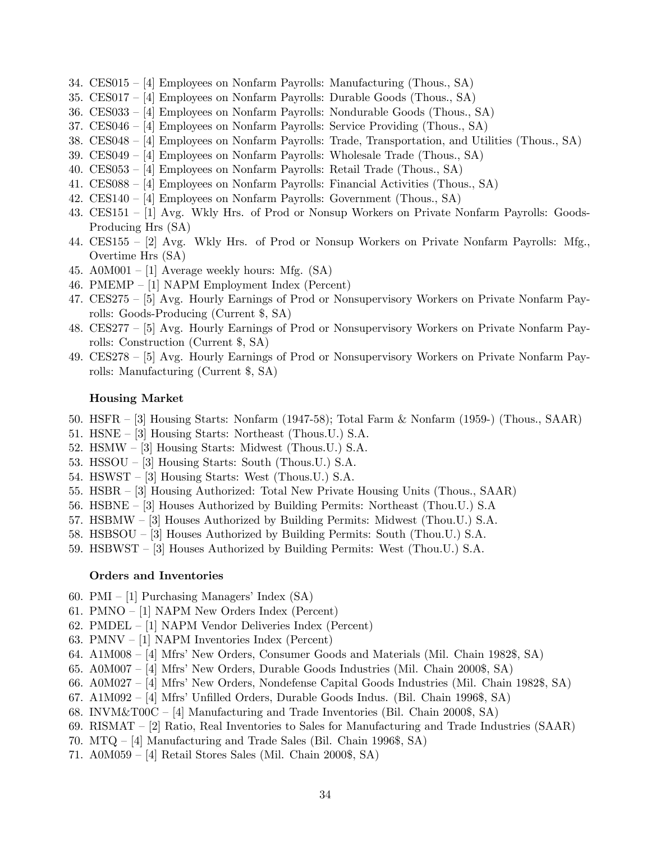- 34. CES015  $-$  [4] Employees on Nonfarm Payrolls: Manufacturing (Thous., SA)
- 35. CES017 [4] Employees on Nonfarm Payrolls: Durable Goods (Thous., SA)
- 36. CES033 [4] Employees on Nonfarm Payrolls: Nondurable Goods (Thous., SA)
- 37. CES046  $-$  [4] Employees on Nonfarm Payrolls: Service Providing (Thous., SA)
- 38. CES048 [4] Employees on Nonfarm Payrolls: Trade, Transportation, and Utilities (Thous., SA)
- 39. CES049 [4] Employees on Nonfarm Payrolls: Wholesale Trade (Thous., SA)
- 40. CES053  $-$  [4] Employees on Nonfarm Payrolls: Retail Trade (Thous., SA)
- 41. CES088 [4] Employees on Nonfarm Payrolls: Financial Activities (Thous., SA)
- 42. CES140 [4] Employees on Nonfarm Payrolls: Government (Thous., SA)
- 43. CES151  $-$  [1] Avg. Wkly Hrs. of Prod or Nonsup Workers on Private Nonfarm Payrolls: Goods-Producing Hrs (SA)
- 44. CES155  $[2]$  Avg. Wkly Hrs. of Prod or Nonsup Workers on Private Nonfarm Payrolls: Mfg., Overtime Hrs (SA)
- 45. A0M001 [1] Average weekly hours: Mfg.  $(SA)$
- 46. PMEMP  $-$  [1] NAPM Employment Index (Percent)
- 47. CES275 [5] Avg. Hourly Earnings of Prod or Nonsupervisory Workers on Private Nonfarm Payrolls: Goods-Producing (Current \$, SA)
- 48. CES277 [5] Avg. Hourly Earnings of Prod or Nonsupervisory Workers on Private Nonfarm Payrolls: Construction (Current \$, SA)
- 49. CES278 [5] Avg. Hourly Earnings of Prod or Nonsupervisory Workers on Private Nonfarm Payrolls: Manufacturing (Current \$, SA)

### Housing Market

- 50. HSFR  $-$  [3] Housing Starts: Nonfarm (1947-58); Total Farm & Nonfarm (1959-) (Thous., SAAR)
- 51. HSNE  $-$  [3] Housing Starts: Northeast (Thous.U.) S.A.
- 52. HSMW  $-$  [3] Housing Starts: Midwest (Thous.U.) S.A.
- 53. HSSOU  $-$  [3] Housing Starts: South (Thous.U.) S.A.
- 54. HSWST  $-$  [3] Housing Starts: West (Thous.U.) S.A.
- 55. HSBR [3] Housing Authorized: Total New Private Housing Units (Thous., SAAR)
- 56. HSBNE  $-$  [3] Houses Authorized by Building Permits: Northeast (Thou.U.) S.A
- 57. HSBMW  $-$  [3] Houses Authorized by Building Permits: Midwest (Thou.U.) S.A.
- 58. HSBSOU  $-$  [3] Houses Authorized by Building Permits: South (Thou.U.) S.A.
- 59. HSBWST  $-$  [3] Houses Authorized by Building Permits: West (Thou.U.) S.A.

#### Orders and Inventories

- 60. PMI [1] Purchasing Managers' Index  $(SA)$
- 61. PMNO  $-$  [1] NAPM New Orders Index (Percent)
- 62. PMDEL  $-$  [1] NAPM Vendor Deliveries Index (Percent)
- 63. PMNV  $-$  [1] NAPM Inventories Index (Percent)
- 64. A1M008 [4] Mfrs' New Orders, Consumer Goods and Materials (Mil. Chain 1982\$, SA)
- 65. A0M007 [4] Mfrs' New Orders, Durable Goods Industries (Mil. Chain 2000\$, SA)
- 66. A0M027 [4] Mfrs' New Orders, Nondefense Capital Goods Industries (Mil. Chain 1982\$, SA)
- 67. A1M092 [4] Mfrs' Unfilled Orders, Durable Goods Indus. (Bil. Chain 1996\$, SA)
- 68. INVM&T00C  $-$  [4] Manufacturing and Trade Inventories (Bil. Chain 2000\$, SA)
- 69. RISMAT  $-$  [2] Ratio, Real Inventories to Sales for Manufacturing and Trade Industries (SAAR)
- 70. MTQ  $-$  [4] Manufacturing and Trade Sales (Bil. Chain 1996\$, SA)
- 71. A0M059 [4] Retail Stores Sales (Mil. Chain 2000\$, SA)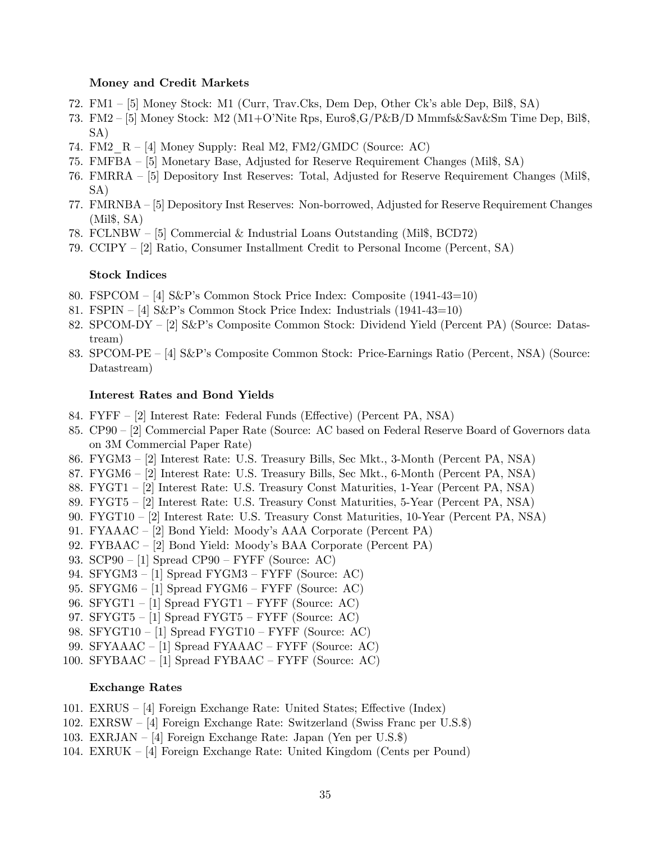#### Money and Credit Markets

- 72. FM1 [5] Money Stock: M1 (Curr, Trav.Cks, Dem Dep, Other Ck's able Dep, Bil\$, SA)
- 73. FM2  $-$  [5] Money Stock: M2 (M1+O'Nite Rps, Euro\$,G/P&B/D Mmmfs&Sav&Sm Time Dep, Bil\$, SA)
- 74. FM2\_R  $-$  [4] Money Supply: Real M2, FM2/GMDC (Source: AC)
- 75. FMFBA  $-$  [5] Monetary Base, Adjusted for Reserve Requirement Changes (Mil\$, SA)
- 76. FMRRA [5] Depository Inst Reserves: Total, Adjusted for Reserve Requirement Changes (Mil\$, SA)
- 77. FMRNBA [5] Depository Inst Reserves: Non-borrowed, Adjusted for Reserve Requirement Changes (Mil\$, SA)
- 78. FCLNBW  $-$  [5] Commercial & Industrial Loans Outstanding (Mil\$, BCD72)
- 79. CCIPY  $-$  [2] Ratio, Consumer Installment Credit to Personal Income (Percent, SA)

### Stock Indices

- 80. FSPCOM  $-$  [4] S&P's Common Stock Price Index: Composite (1941-43=10)
- 81. FSPIN  $-$  [4] S&P's Common Stock Price Index: Industrials (1941-43=10)
- 82.  $SPCOM-DY [2]$  S&P's Composite Common Stock: Dividend Yield (Percent PA) (Source: Datastream)
- 83.  $SPCOM-PE [4]$  S&P's Composite Common Stock: Price-Earnings Ratio (Percent, NSA) (Source: Datastream)

### Interest Rates and Bond Yields

- 84. FYFF [2] Interest Rate: Federal Funds (Effective) (Percent PA, NSA)
- 85.  $C P90 [2]$  Commercial Paper Rate (Source: AC based on Federal Reserve Board of Governors data on 3M Commercial Paper Rate)
- 86. FYGM3 [2] Interest Rate: U.S. Treasury Bills, Sec Mkt., 3-Month (Percent PA, NSA)
- 87. FYGM6 [2] Interest Rate: U.S. Treasury Bills, Sec Mkt., 6-Month (Percent PA, NSA)
- 88. FYGT1 [2] Interest Rate: U.S. Treasury Const Maturities, 1-Year (Percent PA, NSA)
- 89. FYGT5 [2] Interest Rate: U.S. Treasury Const Maturities, 5-Year (Percent PA, NSA)
- 90. FYGT10 [2] Interest Rate: U.S. Treasury Const Maturities, 10-Year (Percent PA, NSA)
- 91. FYAAAC [2] Bond Yield: Moody's AAA Corporate (Percent PA)
- 92. FYBAAC  $-$  [2] Bond Yield: Moody's BAA Corporate (Percent PA)
- 93.  $SCP90 [1]$  Spread  $CP90 FYFF$  (Source: AC)
- 94. SFYGM3 [1] Spread FYGM3 FYFF (Source: AC)
- 95. SFYGM6 [1] Spread FYGM6 FYFF (Source: AC)
- 96. SFYGT1 [1] Spread FYGT1 FYFF (Source: AC)
- 97. SFYGT5  $-$  [1] Spread FYGT5  $-$  FYFF (Source: AC)
- 98. SFYGT10 [1] Spread FYGT10 FYFF (Source: AC)
- 99. SFYAAAC [1] Spread FYAAAC FYFF (Source: AC)
- 100. SFYBAAC  $-$  [1] Spread FYBAAC  $-$  FYFF (Source: AC)

### Exchange Rates

- 101. EXRUS  $-$  [4] Foreign Exchange Rate: United States; Effective (Index)
- 102. EXRSW  $-$  [4] Foreign Exchange Rate: Switzerland (Swiss Franc per U.S.\$)
- 103. EXRJAN  $-$  [4] Foreign Exchange Rate: Japan (Yen per U.S.\$)
- 104. EXRUK  $-$  [4] Foreign Exchange Rate: United Kingdom (Cents per Pound)